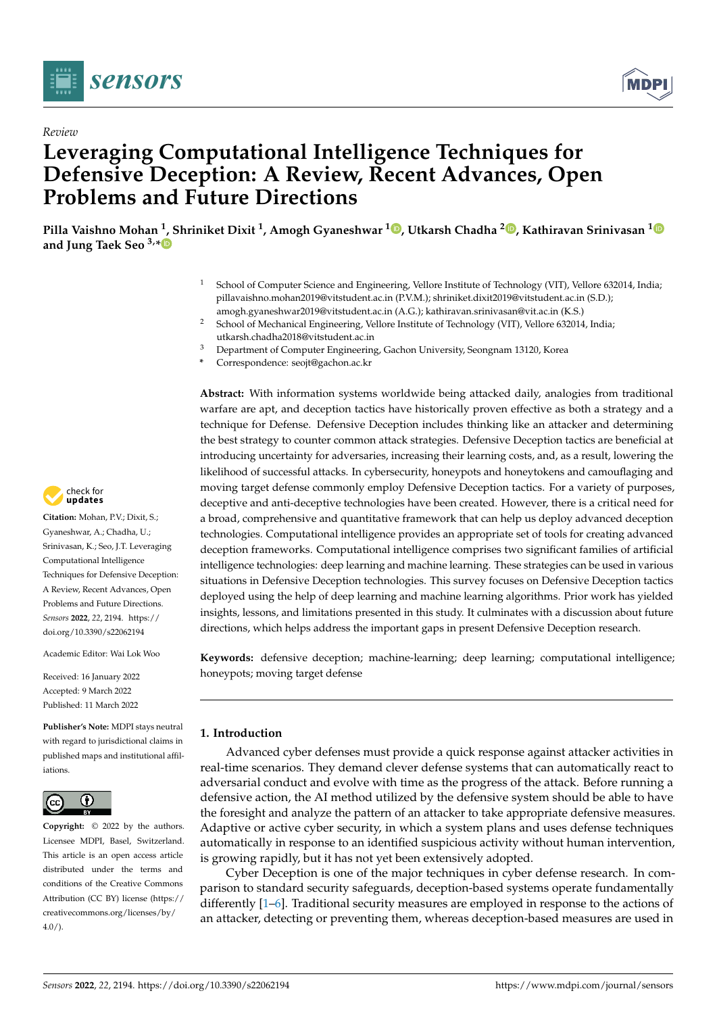

*Review*



# **Leveraging Computational Intelligence Techniques for Defensive Deception: A Review, Recent Advances, Open Problems and Future Directions**

**Pilla Vaishno Mohan <sup>1</sup> , Shriniket Dixit <sup>1</sup> , Amogh Gyaneshwar <sup>1</sup> , Utkarsh Chadha <sup>2</sup> , Kathiravan Srinivasan <sup>1</sup> and Jung Taek Seo 3,\***

- <sup>1</sup> School of Computer Science and Engineering, Vellore Institute of Technology (VIT), Vellore 632014, India; pillavaishno.mohan2019@vitstudent.ac.in (P.V.M.); shriniket.dixit2019@vitstudent.ac.in (S.D.); amogh.gyaneshwar2019@vitstudent.ac.in (A.G.); kathiravan.srinivasan@vit.ac.in (K.S.)
- <sup>2</sup> School of Mechanical Engineering, Vellore Institute of Technology (VIT), Vellore 632014, India; utkarsh.chadha2018@vitstudent.ac.in
- <sup>3</sup> Department of Computer Engineering, Gachon University, Seongnam 13120, Korea
- **\*** Correspondence: seojt@gachon.ac.kr

**Abstract:** With information systems worldwide being attacked daily, analogies from traditional warfare are apt, and deception tactics have historically proven effective as both a strategy and a technique for Defense. Defensive Deception includes thinking like an attacker and determining the best strategy to counter common attack strategies. Defensive Deception tactics are beneficial at introducing uncertainty for adversaries, increasing their learning costs, and, as a result, lowering the likelihood of successful attacks. In cybersecurity, honeypots and honeytokens and camouflaging and moving target defense commonly employ Defensive Deception tactics. For a variety of purposes, deceptive and anti-deceptive technologies have been created. However, there is a critical need for a broad, comprehensive and quantitative framework that can help us deploy advanced deception technologies. Computational intelligence provides an appropriate set of tools for creating advanced deception frameworks. Computational intelligence comprises two significant families of artificial intelligence technologies: deep learning and machine learning. These strategies can be used in various situations in Defensive Deception technologies. This survey focuses on Defensive Deception tactics deployed using the help of deep learning and machine learning algorithms. Prior work has yielded insights, lessons, and limitations presented in this study. It culminates with a discussion about future directions, which helps address the important gaps in present Defensive Deception research.

**Keywords:** defensive deception; machine-learning; deep learning; computational intelligence; honeypots; moving target defense

# **1. Introduction**

Advanced cyber defenses must provide a quick response against attacker activities in real-time scenarios. They demand clever defense systems that can automatically react to adversarial conduct and evolve with time as the progress of the attack. Before running a defensive action, the AI method utilized by the defensive system should be able to have the foresight and analyze the pattern of an attacker to take appropriate defensive measures. Adaptive or active cyber security, in which a system plans and uses defense techniques automatically in response to an identified suspicious activity without human intervention, is growing rapidly, but it has not yet been extensively adopted.

Cyber Deception is one of the major techniques in cyber defense research. In comparison to standard security safeguards, deception-based systems operate fundamentally differently [1–6]. Traditional security measures are employed in response to the actions of an attacker, detecting or preventing them, whereas deception-based measures are used in



**Citation:** Mohan, P.V.; Dixit, S.; Gyaneshwar, A.; Chadha, U.; Srinivasan, K.; Seo, J.T. Leveraging Computational Intelligence Techniques for Defensive Deception: A Review, Recent Advances, Open Problems and Future Directions. *Sensors* **2022**, *22*, 2194. https:// doi.org/10.3390/s22062194

Academic Editor: Wai Lok Woo

Received: 16 January 2022 Accepted: 9 March 2022 Published: 11 March 2022

**Publisher's Note:** MDPI stays neutral with regard to jurisdictional claims in published maps and institutional affiliations.



**Copyright:** © 2022 by the authors. Licensee MDPI, Basel, Switzerland. This article is an open access article distributed under the terms and conditions of the Creative Commons Attribution (CC BY) license (https:// creativecommons.org/licenses/by/  $4.0/$ ).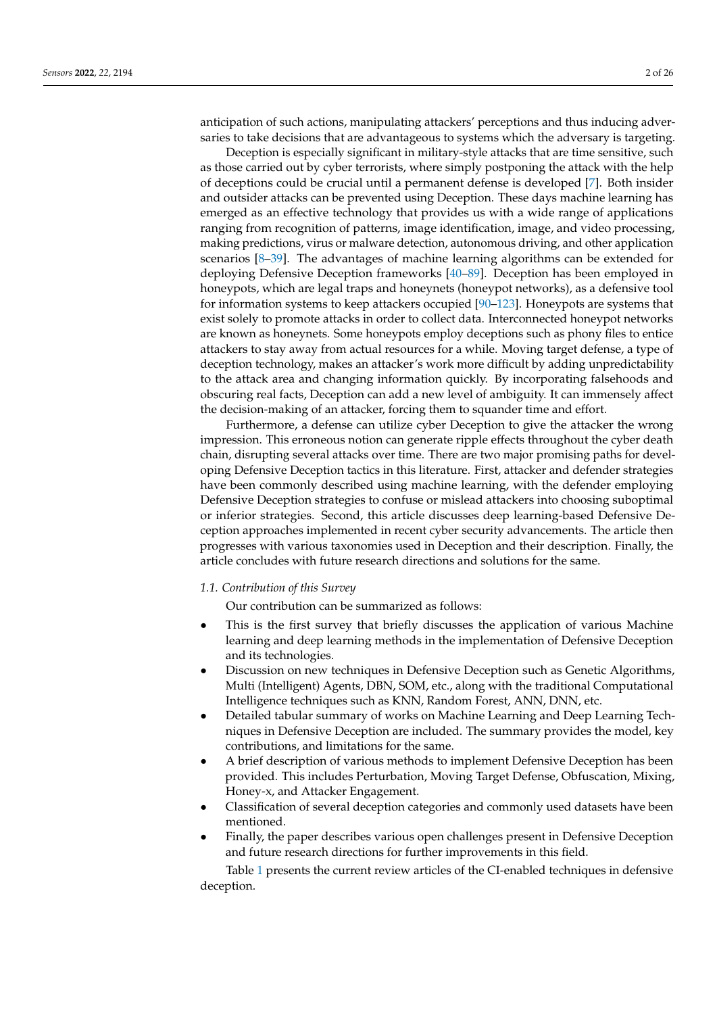anticipation of such actions, manipulating attackers' perceptions and thus inducing adversaries to take decisions that are advantageous to systems which the adversary is targeting.

Deception is especially significant in military-style attacks that are time sensitive, such as those carried out by cyber terrorists, where simply postponing the attack with the help of deceptions could be crucial until a permanent defense is developed [7]. Both insider and outsider attacks can be prevented using Deception. These days machine learning has emerged as an effective technology that provides us with a wide range of applications ranging from recognition of patterns, image identification, image, and video processing, making predictions, virus or malware detection, autonomous driving, and other application scenarios [8–39]. The advantages of machine learning algorithms can be extended for deploying Defensive Deception frameworks [40–89]. Deception has been employed in honeypots, which are legal traps and honeynets (honeypot networks), as a defensive tool for information systems to keep attackers occupied [90–123]. Honeypots are systems that exist solely to promote attacks in order to collect data. Interconnected honeypot networks are known as honeynets. Some honeypots employ deceptions such as phony files to entice attackers to stay away from actual resources for a while. Moving target defense, a type of deception technology, makes an attacker's work more difficult by adding unpredictability to the attack area and changing information quickly. By incorporating falsehoods and obscuring real facts, Deception can add a new level of ambiguity. It can immensely affect the decision-making of an attacker, forcing them to squander time and effort.

Furthermore, a defense can utilize cyber Deception to give the attacker the wrong impression. This erroneous notion can generate ripple effects throughout the cyber death chain, disrupting several attacks over time. There are two major promising paths for developing Defensive Deception tactics in this literature. First, attacker and defender strategies have been commonly described using machine learning, with the defender employing Defensive Deception strategies to confuse or mislead attackers into choosing suboptimal or inferior strategies. Second, this article discusses deep learning-based Defensive Deception approaches implemented in recent cyber security advancements. The article then progresses with various taxonomies used in Deception and their description. Finally, the article concludes with future research directions and solutions for the same.

### *1.1. Contribution of this Survey*

Our contribution can be summarized as follows:

- This is the first survey that briefly discusses the application of various Machine learning and deep learning methods in the implementation of Defensive Deception and its technologies.
- Discussion on new techniques in Defensive Deception such as Genetic Algorithms, Multi (Intelligent) Agents, DBN, SOM, etc., along with the traditional Computational Intelligence techniques such as KNN, Random Forest, ANN, DNN, etc.
- Detailed tabular summary of works on Machine Learning and Deep Learning Techniques in Defensive Deception are included. The summary provides the model, key contributions, and limitations for the same.
- A brief description of various methods to implement Defensive Deception has been provided. This includes Perturbation, Moving Target Defense, Obfuscation, Mixing, Honey-x, and Attacker Engagement.
- Classification of several deception categories and commonly used datasets have been mentioned.
- Finally, the paper describes various open challenges present in Defensive Deception and future research directions for further improvements in this field.

Table 1 presents the current review articles of the CI-enabled techniques in defensive deception.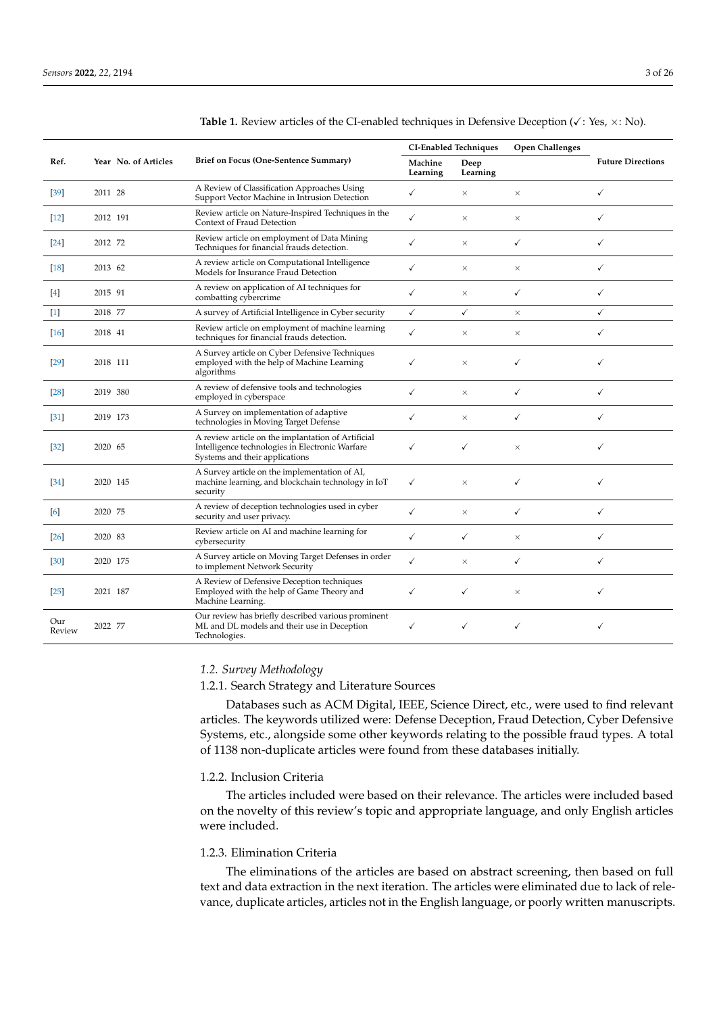|                   |                      |                                                                                                                                         |                     | <b>CI-Enabled Techniques</b> | <b>Open Challenges</b> |                          |
|-------------------|----------------------|-----------------------------------------------------------------------------------------------------------------------------------------|---------------------|------------------------------|------------------------|--------------------------|
| Ref.              | Year No. of Articles | Brief on Focus (One-Sentence Summary)                                                                                                   | Machine<br>Learning | Deep<br>Learning             |                        | <b>Future Directions</b> |
| $[39]$            | 2011 28              | A Review of Classification Approaches Using<br>Support Vector Machine in Intrusion Detection                                            | ✓                   | $\times$                     | $\times$               | ✓                        |
| $[12]$            | 2012 191             | Review article on Nature-Inspired Techniques in the<br>Context of Fraud Detection                                                       | $\checkmark$        | $\times$                     | $\times$               | ✓                        |
| $\left[24\right]$ | 2012 72              | Review article on employment of Data Mining<br>Techniques for financial frauds detection.                                               | ✓                   | $\times$                     | ✓                      | ✓                        |
| $[18]$            | 2013 62              | A review article on Computational Intelligence<br>Models for Insurance Fraud Detection                                                  | ✓                   | $\times$                     | $\times$               | ✓                        |
| $[4]$             | 2015 91              | A review on application of AI techniques for<br>combatting cybercrime                                                                   | ✓                   | $\times$                     | ✓                      | $\checkmark$             |
| $[1]$             | 2018 77              | A survey of Artificial Intelligence in Cyber security                                                                                   | $\checkmark$        | ✓                            | $\times$               | ✓                        |
| [16]              | 2018 41              | Review article on employment of machine learning<br>techniques for financial frauds detection.                                          | ✓                   | $\times$                     | $\times$               | $\checkmark$             |
| $[29]$            | 2018 111             | A Survey article on Cyber Defensive Techniques<br>employed with the help of Machine Learning<br>algorithms                              | ✓                   | $\times$                     | ✓                      | ✓                        |
| [28]              | 2019 380             | A review of defensive tools and technologies<br>employed in cyberspace                                                                  | ✓                   | $\times$                     | $\checkmark$           | ✓                        |
| $[31]$            | 2019 173             | A Survey on implementation of adaptive<br>technologies in Moving Target Defense                                                         | ✓                   | $\times$                     | ✓                      | ✓                        |
| $[32]$            | 2020 65              | A review article on the implantation of Artificial<br>Intelligence technologies in Electronic Warfare<br>Systems and their applications | ✓                   | ✓                            | $\times$               | ✓                        |
| $[34]$            | 2020 145             | A Survey article on the implementation of AI,<br>machine learning, and blockchain technology in IoT<br>security                         | ✓                   | $\times$                     | ✓                      | ✓                        |
| [6]               | 2020 75              | A review of deception technologies used in cyber<br>security and user privacy.                                                          | ✓                   | $\times$                     | ✓                      | ✓                        |
| [26]              | 2020 83              | Review article on AI and machine learning for<br>cybersecurity                                                                          | ✓                   | ✓                            | $\times$               | ✓                        |
| $[30]$            | 2020 175             | A Survey article on Moving Target Defenses in order<br>to implement Network Security                                                    | ✓                   | $\times$                     | ✓                      | ✓                        |
| $[25]$            | 2021 187             | A Review of Defensive Deception techniques<br>Employed with the help of Game Theory and<br>Machine Learning.                            | ✓                   | ✓                            | $\times$               | ✓                        |
| Our<br>Review     | 2022 77              | Our review has briefly described various prominent<br>ML and DL models and their use in Deception<br>Technologies.                      | ✓                   | ✓                            | ✓                      | ✓                        |

## *1.2. Survey Methodology*

## 1.2.1. Search Strategy and Literature Sources

Databases such as ACM Digital, IEEE, Science Direct, etc., were used to find relevant articles. The keywords utilized were: Defense Deception, Fraud Detection, Cyber Defensive Systems, etc., alongside some other keywords relating to the possible fraud types. A total of 1138 non-duplicate articles were found from these databases initially.

## 1.2.2. Inclusion Criteria

The articles included were based on their relevance. The articles were included based on the novelty of this review's topic and appropriate language, and only English articles were included.

# 1.2.3. Elimination Criteria

The eliminations of the articles are based on abstract screening, then based on full text and data extraction in the next iteration. The articles were eliminated due to lack of relevance, duplicate articles, articles not in the English language, or poorly written manuscripts.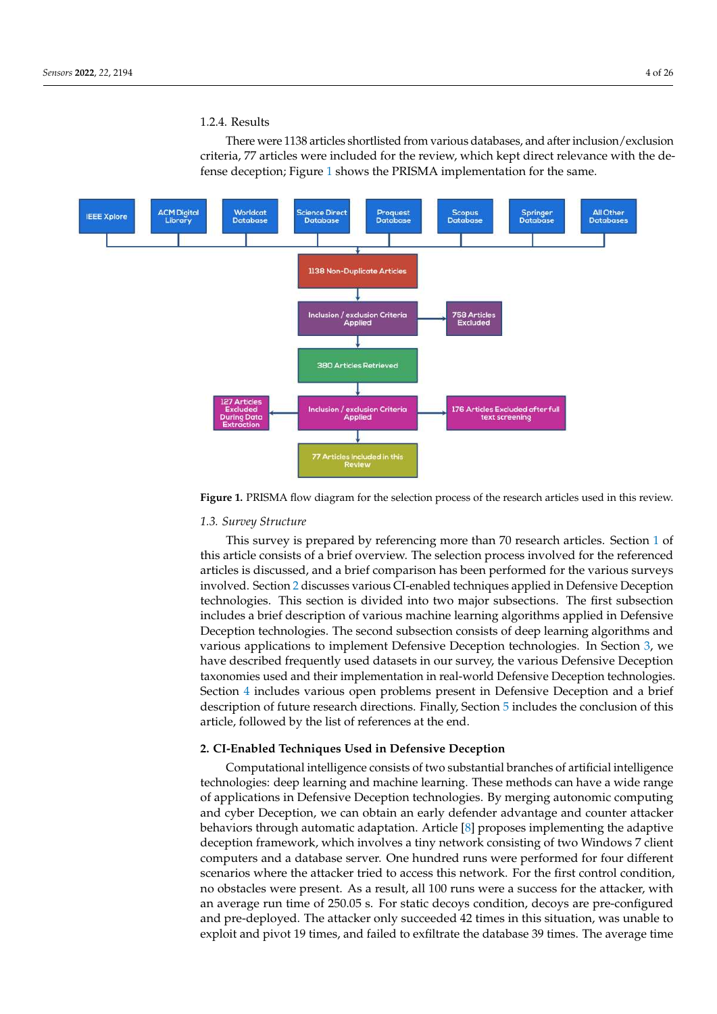## 1.2.4. Results

There were 1138 articles shortlisted from various databases, and after inclusion/exclusion criteria, 77 articles were included for the review, which kept direct relevance with the defense deception; Figure 1 shows the PRISMA implementation for the same.



**Figure 1.** PRISMA flow diagram for the selection process of the research articles used in this review.

# *1.3. Survey Structure*

This survey is prepared by referencing more than 70 research articles. Section 1 of this article consists of a brief overview. The selection process involved for the referenced articles is discussed, and a brief comparison has been performed for the various surveys involved. Section 2 discusses various CI-enabled techniques applied in Defensive Deception technologies. This section is divided into two major subsections. The first subsection includes a brief description of various machine learning algorithms applied in Defensive Deception technologies. The second subsection consists of deep learning algorithms and various applications to implement Defensive Deception technologies. In Section 3, we have described frequently used datasets in our survey, the various Defensive Deception taxonomies used and their implementation in real-world Defensive Deception technologies. Section 4 includes various open problems present in Defensive Deception and a brief description of future research directions. Finally, Section 5 includes the conclusion of this article, followed by the list of references at the end.

#### **2. CI-Enabled Techniques Used in Defensive Deception**

Computational intelligence consists of two substantial branches of artificial intelligence technologies: deep learning and machine learning. These methods can have a wide range of applications in Defensive Deception technologies. By merging autonomic computing and cyber Deception, we can obtain an early defender advantage and counter attacker behaviors through automatic adaptation. Article [8] proposes implementing the adaptive deception framework, which involves a tiny network consisting of two Windows 7 client computers and a database server. One hundred runs were performed for four different scenarios where the attacker tried to access this network. For the first control condition, no obstacles were present. As a result, all 100 runs were a success for the attacker, with an average run time of 250.05 s. For static decoys condition, decoys are pre-configured and pre-deployed. The attacker only succeeded 42 times in this situation, was unable to exploit and pivot 19 times, and failed to exfiltrate the database 39 times. The average time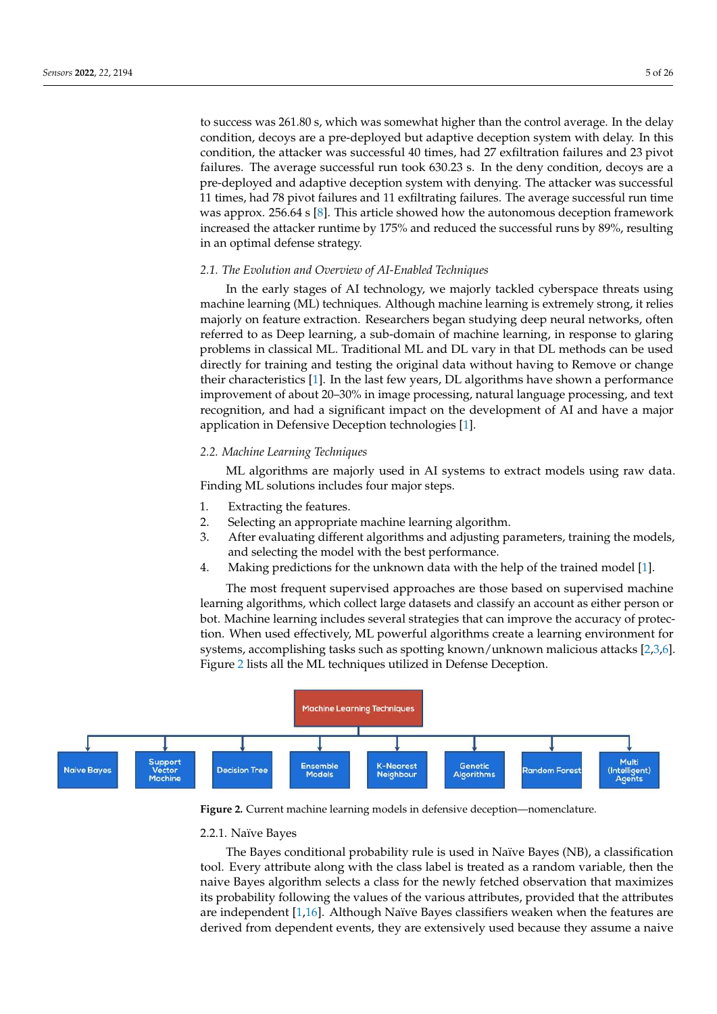to success was 261.80 s, which was somewhat higher than the control average. In the delay condition, decoys are a pre-deployed but adaptive deception system with delay. In this condition, the attacker was successful 40 times, had 27 exfiltration failures and 23 pivot failures. The average successful run took 630.23 s. In the deny condition, decoys are a pre-deployed and adaptive deception system with denying. The attacker was successful 11 times, had 78 pivot failures and 11 exfiltrating failures. The average successful run time was approx. 256.64 s [8]. This article showed how the autonomous deception framework increased the attacker runtime by 175% and reduced the successful runs by 89%, resulting

## *2.1. The Evolution and Overview of AI-Enabled Techniques*

In the early stages of AI technology, we majorly tackled cyberspace threats using machine learning (ML) techniques. Although machine learning is extremely strong, it relies majorly on feature extraction. Researchers began studying deep neural networks, often referred to as Deep learning, a sub-domain of machine learning, in response to glaring problems in classical ML. Traditional ML and DL vary in that DL methods can be used directly for training and testing the original data without having to Remove or change their characteristics [1]. In the last few years, DL algorithms have shown a performance improvement of about 20–30% in image processing, natural language processing, and text recognition, and had a significant impact on the development of AI and have a major application in Defensive Deception technologies [1].

## *2.2. Machine Learning Techniques*

in an optimal defense strategy.

ML algorithms are majorly used in AI systems to extract models using raw data. Finding ML solutions includes four major steps.

- 1. Extracting the features.
- 2. Selecting an appropriate machine learning algorithm.
- 3. After evaluating different algorithms and adjusting parameters, training the models, and selecting the model with the best performance.
- 4. Making predictions for the unknown data with the help of the trained model [1].

The most frequent supervised approaches are those based on supervised machine learning algorithms, which collect large datasets and classify an account as either person or bot. Machine learning includes several strategies that can improve the accuracy of protection. When used effectively, ML powerful algorithms create a learning environment for systems, accomplishing tasks such as spotting known/unknown malicious attacks [2,3,6]. Figure 2 lists all the ML techniques utilized in Defense Deception.



**Figure 2.** Current machine learning models in defensive deception—nomenclature.

#### 2.2.1. Naïve Bayes

The Bayes conditional probability rule is used in Naïve Bayes (NB), a classification tool. Every attribute along with the class label is treated as a random variable, then the naive Bayes algorithm selects a class for the newly fetched observation that maximizes its probability following the values of the various attributes, provided that the attributes are independent [1,16]. Although Naïve Bayes classifiers weaken when the features are derived from dependent events, they are extensively used because they assume a naive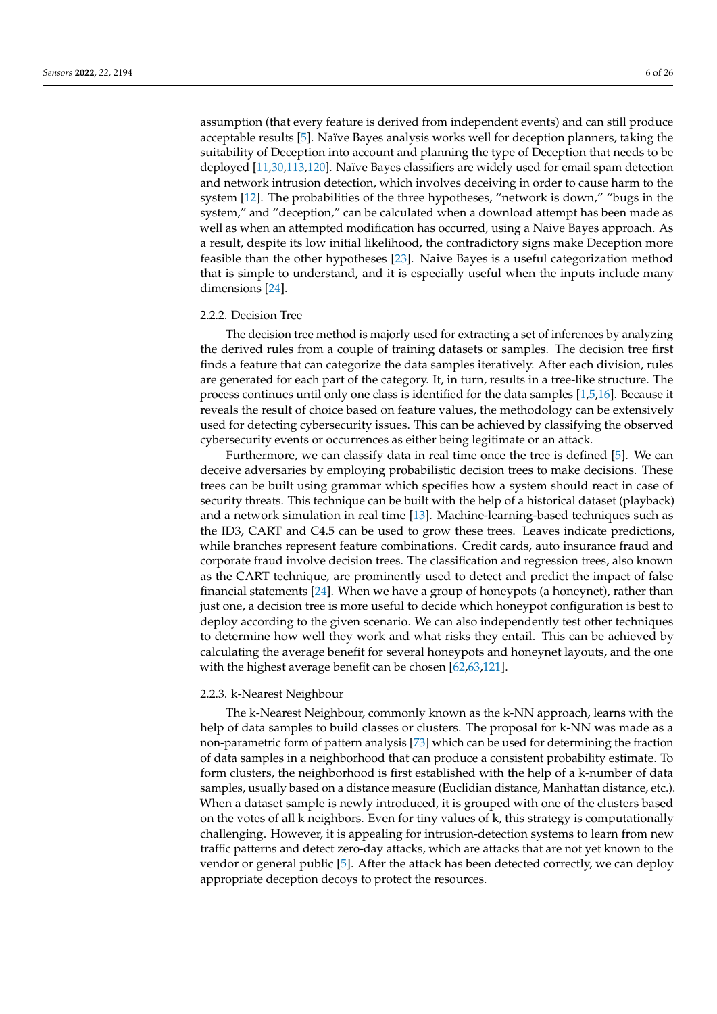assumption (that every feature is derived from independent events) and can still produce acceptable results [5]. Naïve Bayes analysis works well for deception planners, taking the suitability of Deception into account and planning the type of Deception that needs to be deployed [11,30,113,120]. Naïve Bayes classifiers are widely used for email spam detection and network intrusion detection, which involves deceiving in order to cause harm to the system [12]. The probabilities of the three hypotheses, "network is down," "bugs in the system," and "deception," can be calculated when a download attempt has been made as well as when an attempted modification has occurred, using a Naive Bayes approach. As a result, despite its low initial likelihood, the contradictory signs make Deception more feasible than the other hypotheses [23]. Naive Bayes is a useful categorization method that is simple to understand, and it is especially useful when the inputs include many dimensions [24].

## 2.2.2. Decision Tree

The decision tree method is majorly used for extracting a set of inferences by analyzing the derived rules from a couple of training datasets or samples. The decision tree first finds a feature that can categorize the data samples iteratively. After each division, rules are generated for each part of the category. It, in turn, results in a tree-like structure. The process continues until only one class is identified for the data samples [1,5,16]. Because it reveals the result of choice based on feature values, the methodology can be extensively used for detecting cybersecurity issues. This can be achieved by classifying the observed cybersecurity events or occurrences as either being legitimate or an attack.

Furthermore, we can classify data in real time once the tree is defined [5]. We can deceive adversaries by employing probabilistic decision trees to make decisions. These trees can be built using grammar which specifies how a system should react in case of security threats. This technique can be built with the help of a historical dataset (playback) and a network simulation in real time [13]. Machine-learning-based techniques such as the ID3, CART and C4.5 can be used to grow these trees. Leaves indicate predictions, while branches represent feature combinations. Credit cards, auto insurance fraud and corporate fraud involve decision trees. The classification and regression trees, also known as the CART technique, are prominently used to detect and predict the impact of false financial statements [24]. When we have a group of honeypots (a honeynet), rather than just one, a decision tree is more useful to decide which honeypot configuration is best to deploy according to the given scenario. We can also independently test other techniques to determine how well they work and what risks they entail. This can be achieved by calculating the average benefit for several honeypots and honeynet layouts, and the one with the highest average benefit can be chosen [62,63,121].

#### 2.2.3. k-Nearest Neighbour

The k-Nearest Neighbour, commonly known as the k-NN approach, learns with the help of data samples to build classes or clusters. The proposal for k-NN was made as a non-parametric form of pattern analysis [73] which can be used for determining the fraction of data samples in a neighborhood that can produce a consistent probability estimate. To form clusters, the neighborhood is first established with the help of a k-number of data samples, usually based on a distance measure (Euclidian distance, Manhattan distance, etc.). When a dataset sample is newly introduced, it is grouped with one of the clusters based on the votes of all k neighbors. Even for tiny values of k, this strategy is computationally challenging. However, it is appealing for intrusion-detection systems to learn from new traffic patterns and detect zero-day attacks, which are attacks that are not yet known to the vendor or general public [5]. After the attack has been detected correctly, we can deploy appropriate deception decoys to protect the resources.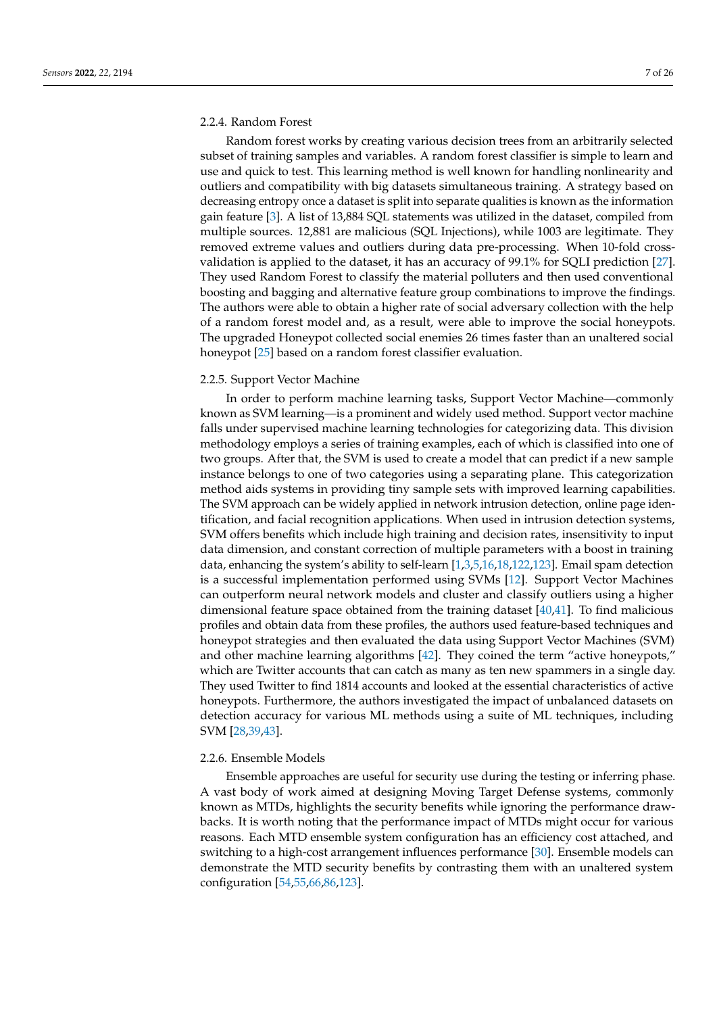## 2.2.4. Random Forest

Random forest works by creating various decision trees from an arbitrarily selected subset of training samples and variables. A random forest classifier is simple to learn and use and quick to test. This learning method is well known for handling nonlinearity and outliers and compatibility with big datasets simultaneous training. A strategy based on decreasing entropy once a dataset is split into separate qualities is known as the information gain feature [3]. A list of 13,884 SQL statements was utilized in the dataset, compiled from multiple sources. 12,881 are malicious (SQL Injections), while 1003 are legitimate. They removed extreme values and outliers during data pre-processing. When 10-fold crossvalidation is applied to the dataset, it has an accuracy of 99.1% for SQLI prediction [27]. They used Random Forest to classify the material polluters and then used conventional boosting and bagging and alternative feature group combinations to improve the findings. The authors were able to obtain a higher rate of social adversary collection with the help of a random forest model and, as a result, were able to improve the social honeypots. The upgraded Honeypot collected social enemies 26 times faster than an unaltered social honeypot [25] based on a random forest classifier evaluation.

## 2.2.5. Support Vector Machine

In order to perform machine learning tasks, Support Vector Machine—commonly known as SVM learning—is a prominent and widely used method. Support vector machine falls under supervised machine learning technologies for categorizing data. This division methodology employs a series of training examples, each of which is classified into one of two groups. After that, the SVM is used to create a model that can predict if a new sample instance belongs to one of two categories using a separating plane. This categorization method aids systems in providing tiny sample sets with improved learning capabilities. The SVM approach can be widely applied in network intrusion detection, online page identification, and facial recognition applications. When used in intrusion detection systems, SVM offers benefits which include high training and decision rates, insensitivity to input data dimension, and constant correction of multiple parameters with a boost in training data, enhancing the system's ability to self-learn [1,3,5,16,18,122,123]. Email spam detection is a successful implementation performed using SVMs [12]. Support Vector Machines can outperform neural network models and cluster and classify outliers using a higher dimensional feature space obtained from the training dataset [40,41]. To find malicious profiles and obtain data from these profiles, the authors used feature-based techniques and honeypot strategies and then evaluated the data using Support Vector Machines (SVM) and other machine learning algorithms [42]. They coined the term "active honeypots," which are Twitter accounts that can catch as many as ten new spammers in a single day. They used Twitter to find 1814 accounts and looked at the essential characteristics of active honeypots. Furthermore, the authors investigated the impact of unbalanced datasets on detection accuracy for various ML methods using a suite of ML techniques, including SVM [28,39,43].

## 2.2.6. Ensemble Models

Ensemble approaches are useful for security use during the testing or inferring phase. A vast body of work aimed at designing Moving Target Defense systems, commonly known as MTDs, highlights the security benefits while ignoring the performance drawbacks. It is worth noting that the performance impact of MTDs might occur for various reasons. Each MTD ensemble system configuration has an efficiency cost attached, and switching to a high-cost arrangement influences performance [30]. Ensemble models can demonstrate the MTD security benefits by contrasting them with an unaltered system configuration [54,55,66,86,123].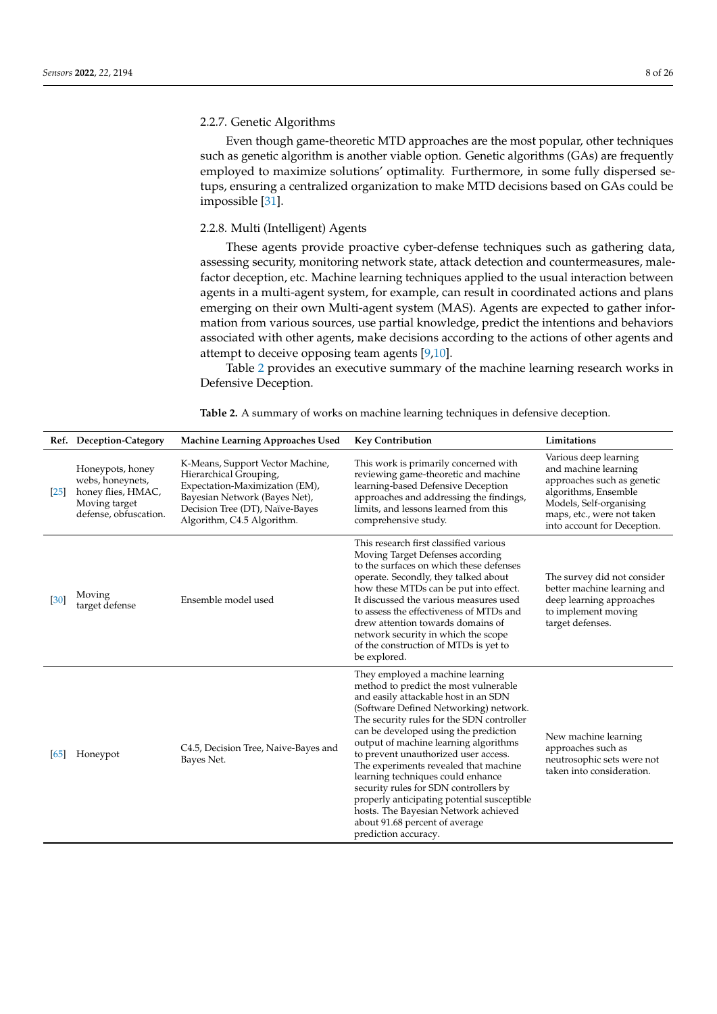## 2.2.7. Genetic Algorithms

Even though game-theoretic MTD approaches are the most popular, other techniques such as genetic algorithm is another viable option. Genetic algorithms (GAs) are frequently employed to maximize solutions' optimality. Furthermore, in some fully dispersed setups, ensuring a centralized organization to make MTD decisions based on GAs could be impossible [31].

## 2.2.8. Multi (Intelligent) Agents

These agents provide proactive cyber-defense techniques such as gathering data, assessing security, monitoring network state, attack detection and countermeasures, malefactor deception, etc. Machine learning techniques applied to the usual interaction between agents in a multi-agent system, for example, can result in coordinated actions and plans emerging on their own Multi-agent system (MAS). Agents are expected to gather information from various sources, use partial knowledge, predict the intentions and behaviors associated with other agents, make decisions according to the actions of other agents and attempt to deceive opposing team agents [9,10].

Table 2 provides an executive summary of the machine learning research works in Defensive Deception.

|      | Ref. Deception-Category                                                                              | <b>Machine Learning Approaches Used</b>                                                                                                                                                        | <b>Key Contribution</b>                                                                                                                                                                                                                                                                                                                                                                                                                                                                                                                                                                                    | Limitations                                                                                                                                                                                 |
|------|------------------------------------------------------------------------------------------------------|------------------------------------------------------------------------------------------------------------------------------------------------------------------------------------------------|------------------------------------------------------------------------------------------------------------------------------------------------------------------------------------------------------------------------------------------------------------------------------------------------------------------------------------------------------------------------------------------------------------------------------------------------------------------------------------------------------------------------------------------------------------------------------------------------------------|---------------------------------------------------------------------------------------------------------------------------------------------------------------------------------------------|
| [25] | Honeypots, honey<br>webs, honeynets,<br>honey flies, HMAC,<br>Moving target<br>defense, obfuscation. | K-Means, Support Vector Machine,<br>Hierarchical Grouping,<br>Expectation-Maximization (EM),<br>Bayesian Network (Bayes Net),<br>Decision Tree (DT), Naïve-Bayes<br>Algorithm, C4.5 Algorithm. | This work is primarily concerned with<br>reviewing game-theoretic and machine<br>learning-based Defensive Deception<br>approaches and addressing the findings,<br>limits, and lessons learned from this<br>comprehensive study.                                                                                                                                                                                                                                                                                                                                                                            | Various deep learning<br>and machine learning<br>approaches such as genetic<br>algorithms, Ensemble<br>Models, Self-organising<br>maps, etc., were not taken<br>into account for Deception. |
| [30] | Moving<br>target defense                                                                             | Ensemble model used                                                                                                                                                                            | This research first classified various<br>Moving Target Defenses according<br>to the surfaces on which these defenses<br>operate. Secondly, they talked about<br>how these MTDs can be put into effect.<br>It discussed the various measures used<br>to assess the effectiveness of MTDs and<br>drew attention towards domains of<br>network security in which the scope<br>of the construction of MTDs is yet to<br>be explored.                                                                                                                                                                          | The survey did not consider<br>better machine learning and<br>deep learning approaches<br>to implement moving<br>target defenses.                                                           |
| [65] | Honeypot                                                                                             | C4.5, Decision Tree, Naive-Bayes and<br>Bayes Net.                                                                                                                                             | They employed a machine learning<br>method to predict the most vulnerable<br>and easily attackable host in an SDN<br>(Software Defined Networking) network.<br>The security rules for the SDN controller<br>can be developed using the prediction<br>output of machine learning algorithms<br>to prevent unauthorized user access.<br>The experiments revealed that machine<br>learning techniques could enhance<br>security rules for SDN controllers by<br>properly anticipating potential susceptible<br>hosts. The Bayesian Network achieved<br>about 91.68 percent of average<br>prediction accuracy. | New machine learning<br>approaches such as<br>neutrosophic sets were not<br>taken into consideration.                                                                                       |

**Table 2.** A summary of works on machine learning techniques in defensive deception.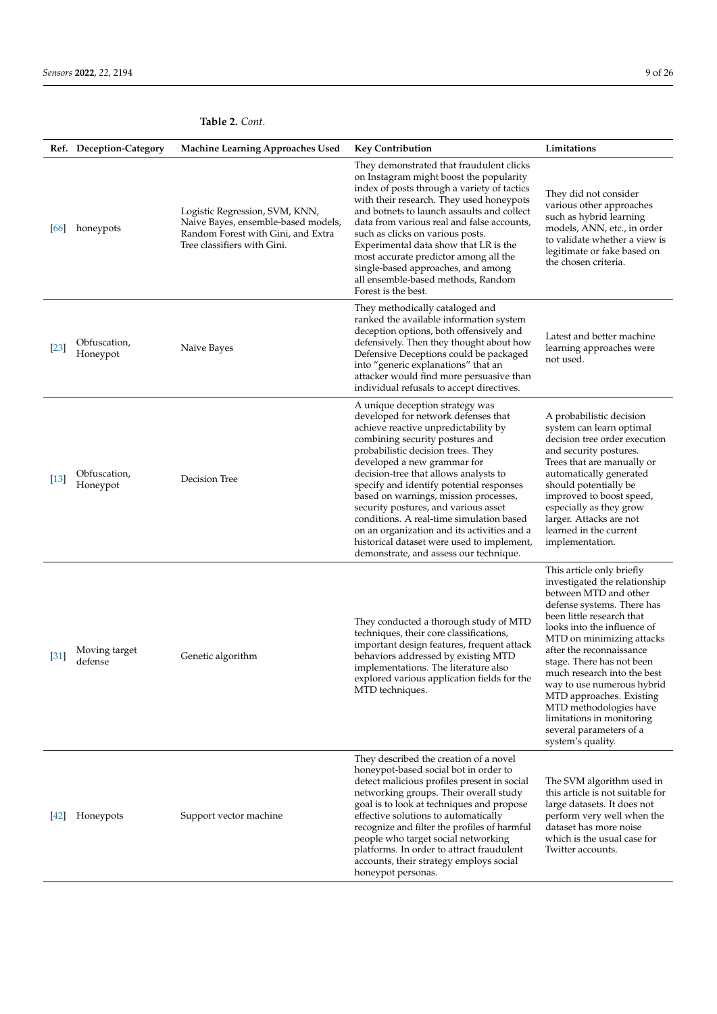|                   | Ref. Deception-Category  | Machine Learning Approaches Used                                                                                                           | <b>Key Contribution</b>                                                                                                                                                                                                                                                                                                                                                                                                                                                                                                                                                         | Limitations                                                                                                                                                                                                                                                                                                                                                                                                                                                         |
|-------------------|--------------------------|--------------------------------------------------------------------------------------------------------------------------------------------|---------------------------------------------------------------------------------------------------------------------------------------------------------------------------------------------------------------------------------------------------------------------------------------------------------------------------------------------------------------------------------------------------------------------------------------------------------------------------------------------------------------------------------------------------------------------------------|---------------------------------------------------------------------------------------------------------------------------------------------------------------------------------------------------------------------------------------------------------------------------------------------------------------------------------------------------------------------------------------------------------------------------------------------------------------------|
| [66]              | honeypots                | Logistic Regression, SVM, KNN,<br>Naive Bayes, ensemble-based models,<br>Random Forest with Gini, and Extra<br>Tree classifiers with Gini. | They demonstrated that fraudulent clicks<br>on Instagram might boost the popularity<br>index of posts through a variety of tactics<br>with their research. They used honeypots<br>and botnets to launch assaults and collect<br>data from various real and false accounts,<br>such as clicks on various posts.<br>Experimental data show that LR is the<br>most accurate predictor among all the<br>single-based approaches, and among<br>all ensemble-based methods, Random<br>Forest is the best.                                                                             | They did not consider<br>various other approaches<br>such as hybrid learning<br>models, ANN, etc., in order<br>to validate whether a view is<br>legitimate or fake based on<br>the chosen criteria.                                                                                                                                                                                                                                                                 |
| $\left[23\right]$ | Obfuscation,<br>Honeypot | Naïve Bayes                                                                                                                                | They methodically cataloged and<br>ranked the available information system<br>deception options, both offensively and<br>defensively. Then they thought about how<br>Defensive Deceptions could be packaged<br>into "generic explanations" that an<br>attacker would find more persuasive than<br>individual refusals to accept directives.                                                                                                                                                                                                                                     | Latest and better machine<br>learning approaches were<br>not used.                                                                                                                                                                                                                                                                                                                                                                                                  |
| $[13]$            | Obfuscation,<br>Honeypot | Decision Tree                                                                                                                              | A unique deception strategy was<br>developed for network defenses that<br>achieve reactive unpredictability by<br>combining security postures and<br>probabilistic decision trees. They<br>developed a new grammar for<br>decision-tree that allows analysts to<br>specify and identify potential responses<br>based on warnings, mission processes,<br>security postures, and various asset<br>conditions. A real-time simulation based<br>on an organization and its activities and a<br>historical dataset were used to implement,<br>demonstrate, and assess our technique. | A probabilistic decision<br>system can learn optimal<br>decision tree order execution<br>and security postures.<br>Trees that are manually or<br>automatically generated<br>should potentially be<br>improved to boost speed,<br>especially as they grow<br>larger. Attacks are not<br>learned in the current<br>implementation.                                                                                                                                    |
| $\left[31\right]$ | Moving target<br>defense | Genetic algorithm                                                                                                                          | They conducted a thorough study of MTD<br>techniques, their core classifications,<br>important design features, frequent attack<br>behaviors addressed by existing MTD<br>implementations. The literature also<br>explored various application fields for the<br>MTD techniques.                                                                                                                                                                                                                                                                                                | This article only briefly<br>investigated the relationship<br>between MTD and other<br>defense systems. There has<br>been little research that<br>looks into the influence of<br>MTD on minimizing attacks<br>after the reconnaissance<br>stage. There has not been<br>much research into the best<br>way to use numerous hybrid<br>MTD approaches. Existing<br>MTD methodologies have<br>limitations in monitoring<br>several parameters of a<br>system's quality. |
| 42                | Honeypots                | Support vector machine                                                                                                                     | They described the creation of a novel<br>honeypot-based social bot in order to<br>detect malicious profiles present in social<br>networking groups. Their overall study<br>goal is to look at techniques and propose<br>effective solutions to automatically<br>recognize and filter the profiles of harmful<br>people who target social networking<br>platforms. In order to attract fraudulent<br>accounts, their strategy employs social<br>honeypot personas.                                                                                                              | The SVM algorithm used in<br>this article is not suitable for<br>large datasets. It does not<br>perform very well when the<br>dataset has more noise<br>which is the usual case for<br>Twitter accounts.                                                                                                                                                                                                                                                            |

# **Table 2.** *Cont.*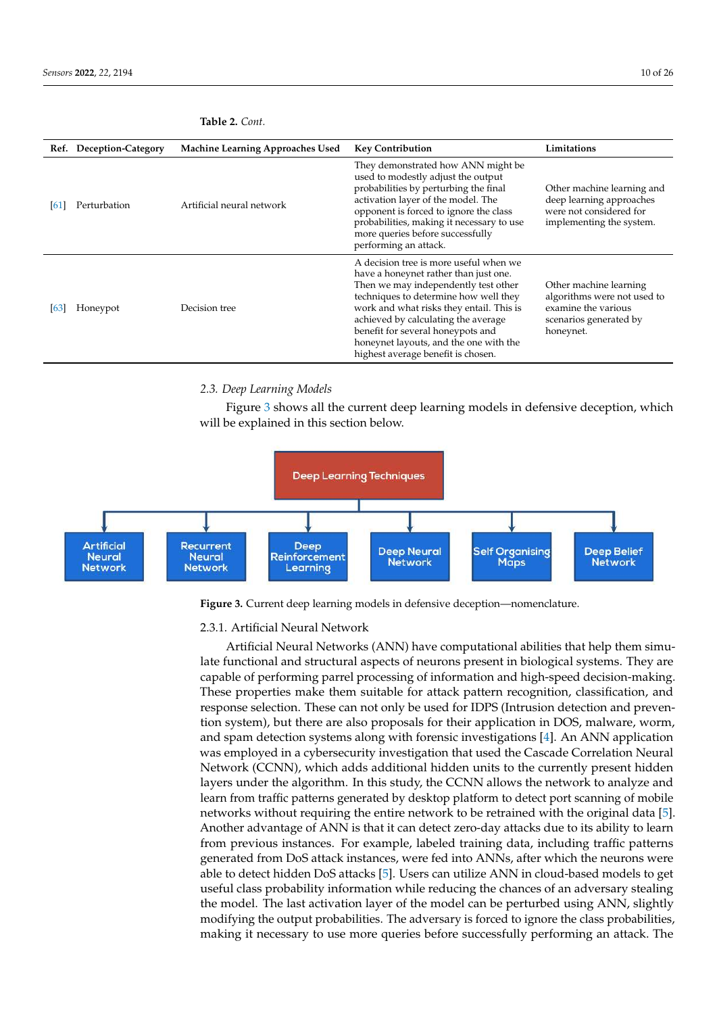|      | Ref. Deception-Category | <b>Machine Learning Approaches Used</b> | <b>Key Contribution</b>                                                                                                                                                                                                                                                                                                                                                  | Limitations                                                                                                         |
|------|-------------------------|-----------------------------------------|--------------------------------------------------------------------------------------------------------------------------------------------------------------------------------------------------------------------------------------------------------------------------------------------------------------------------------------------------------------------------|---------------------------------------------------------------------------------------------------------------------|
| [61  | Perturbation            | Artificial neural network               | They demonstrated how ANN might be<br>used to modestly adjust the output<br>probabilities by perturbing the final<br>activation layer of the model. The<br>opponent is forced to ignore the class<br>probabilities, making it necessary to use<br>more queries before successfully<br>performing an attack.                                                              | Other machine learning and<br>deep learning approaches<br>were not considered for<br>implementing the system.       |
| [63] | Honeypot                | Decision tree                           | A decision tree is more useful when we<br>have a honeynet rather than just one.<br>Then we may independently test other<br>techniques to determine how well they<br>work and what risks they entail. This is<br>achieved by calculating the average<br>benefit for several honeypots and<br>honeynet layouts, and the one with the<br>highest average benefit is chosen. | Other machine learning<br>algorithms were not used to<br>examine the various<br>scenarios generated by<br>honeynet. |

## **Table 2.** *Cont.*

# *2.3. Deep Learning Models*

Figure 3 shows all the current deep learning models in defensive deception, which will be explained in this section below.



**Figure 3.** Current deep learning models in defensive deception—nomenclature.

### 2.3.1. Artificial Neural Network

Artificial Neural Networks (ANN) have computational abilities that help them simulate functional and structural aspects of neurons present in biological systems. They are capable of performing parrel processing of information and high-speed decision-making. These properties make them suitable for attack pattern recognition, classification, and response selection. These can not only be used for IDPS (Intrusion detection and prevention system), but there are also proposals for their application in DOS, malware, worm, and spam detection systems along with forensic investigations [4]. An ANN application was employed in a cybersecurity investigation that used the Cascade Correlation Neural Network (CCNN), which adds additional hidden units to the currently present hidden layers under the algorithm. In this study, the CCNN allows the network to analyze and learn from traffic patterns generated by desktop platform to detect port scanning of mobile networks without requiring the entire network to be retrained with the original data [5]. Another advantage of ANN is that it can detect zero-day attacks due to its ability to learn from previous instances. For example, labeled training data, including traffic patterns generated from DoS attack instances, were fed into ANNs, after which the neurons were able to detect hidden DoS attacks [5]. Users can utilize ANN in cloud-based models to get useful class probability information while reducing the chances of an adversary stealing the model. The last activation layer of the model can be perturbed using ANN, slightly modifying the output probabilities. The adversary is forced to ignore the class probabilities, making it necessary to use more queries before successfully performing an attack. The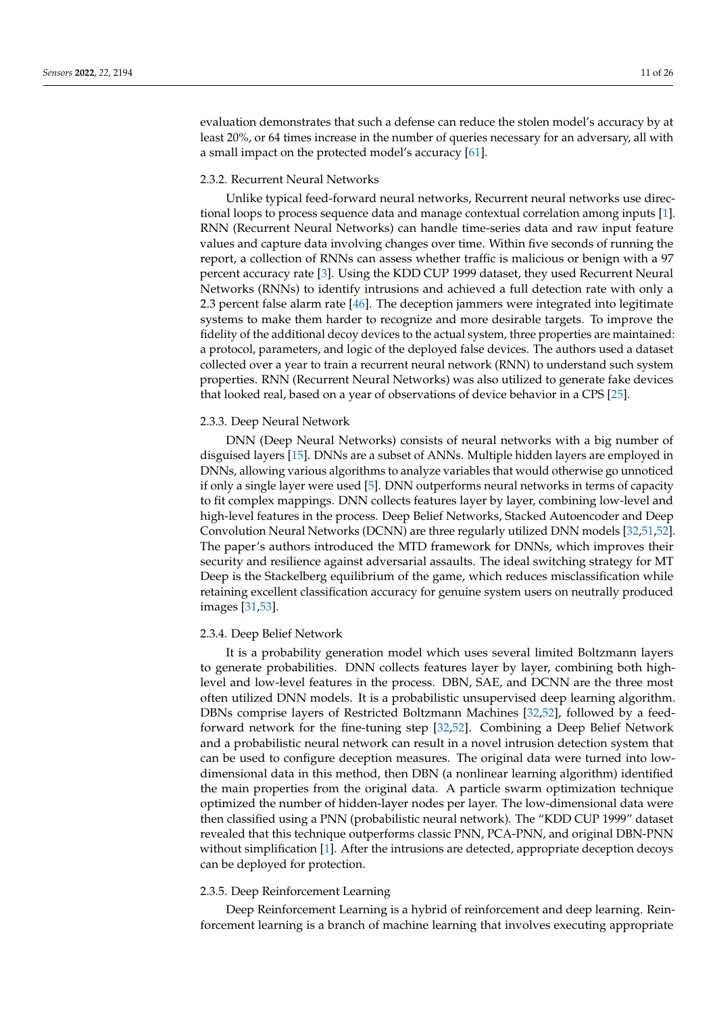evaluation demonstrates that such a defense can reduce the stolen model's accuracy by at least 20%, or 64 times increase in the number of queries necessary for an adversary, all with a small impact on the protected model's accuracy [61].

## 2.3.2. Recurrent Neural Networks

Unlike typical feed-forward neural networks, Recurrent neural networks use directional loops to process sequence data and manage contextual correlation among inputs [1]. RNN (Recurrent Neural Networks) can handle time-series data and raw input feature values and capture data involving changes over time. Within five seconds of running the report, a collection of RNNs can assess whether traffic is malicious or benign with a 97 percent accuracy rate [3]. Using the KDD CUP 1999 dataset, they used Recurrent Neural Networks (RNNs) to identify intrusions and achieved a full detection rate with only a 2.3 percent false alarm rate [46]. The deception jammers were integrated into legitimate systems to make them harder to recognize and more desirable targets. To improve the fidelity of the additional decoy devices to the actual system, three properties are maintained: a protocol, parameters, and logic of the deployed false devices. The authors used a dataset collected over a year to train a recurrent neural network (RNN) to understand such system properties. RNN (Recurrent Neural Networks) was also utilized to generate fake devices that looked real, based on a year of observations of device behavior in a CPS [25].

## 2.3.3. Deep Neural Network

DNN (Deep Neural Networks) consists of neural networks with a big number of disguised layers [15]. DNNs are a subset of ANNs. Multiple hidden layers are employed in DNNs, allowing various algorithms to analyze variables that would otherwise go unnoticed if only a single layer were used [5]. DNN outperforms neural networks in terms of capacity to fit complex mappings. DNN collects features layer by layer, combining low-level and high-level features in the process. Deep Belief Networks, Stacked Autoencoder and Deep Convolution Neural Networks (DCNN) are three regularly utilized DNN models [32,51,52]. The paper's authors introduced the MTD framework for DNNs, which improves their security and resilience against adversarial assaults. The ideal switching strategy for MT Deep is the Stackelberg equilibrium of the game, which reduces misclassification while retaining excellent classification accuracy for genuine system users on neutrally produced images [31,53].

#### 2.3.4. Deep Belief Network

It is a probability generation model which uses several limited Boltzmann layers to generate probabilities. DNN collects features layer by layer, combining both highlevel and low-level features in the process. DBN, SAE, and DCNN are the three most often utilized DNN models. It is a probabilistic unsupervised deep learning algorithm. DBNs comprise layers of Restricted Boltzmann Machines [32,52], followed by a feedforward network for the fine-tuning step [32,52]. Combining a Deep Belief Network and a probabilistic neural network can result in a novel intrusion detection system that can be used to configure deception measures. The original data were turned into lowdimensional data in this method, then DBN (a nonlinear learning algorithm) identified the main properties from the original data. A particle swarm optimization technique optimized the number of hidden-layer nodes per layer. The low-dimensional data were then classified using a PNN (probabilistic neural network). The "KDD CUP 1999" dataset revealed that this technique outperforms classic PNN, PCA-PNN, and original DBN-PNN without simplification [1]. After the intrusions are detected, appropriate deception decoys can be deployed for protection.

## 2.3.5. Deep Reinforcement Learning

Deep Reinforcement Learning is a hybrid of reinforcement and deep learning. Reinforcement learning is a branch of machine learning that involves executing appropriate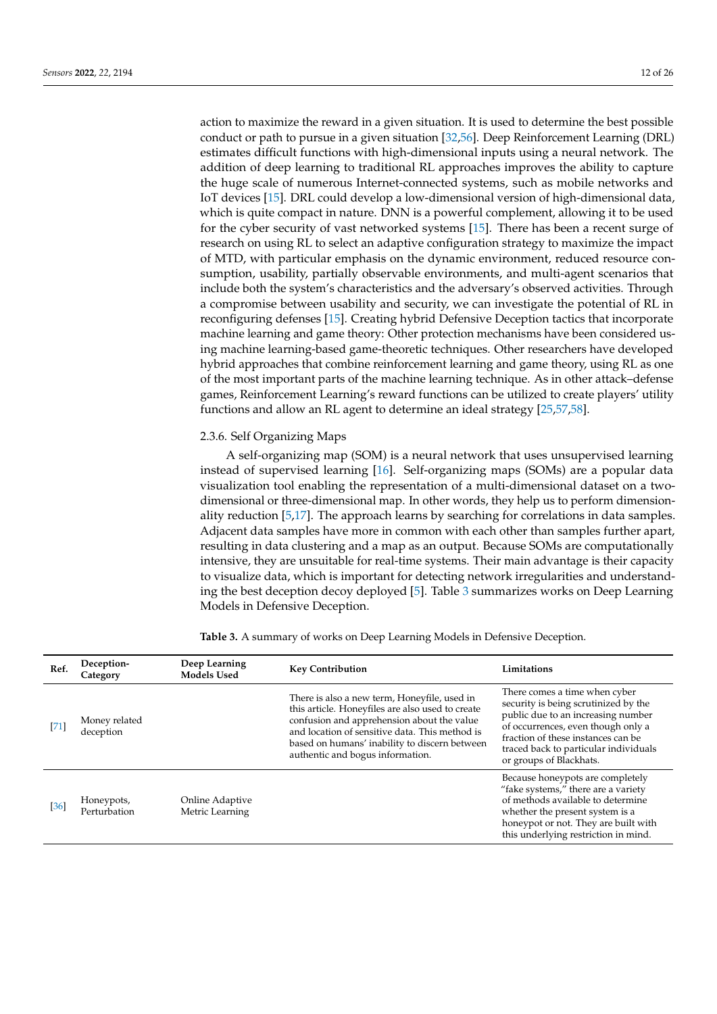action to maximize the reward in a given situation. It is used to determine the best possible conduct or path to pursue in a given situation [32,56]. Deep Reinforcement Learning (DRL) estimates difficult functions with high-dimensional inputs using a neural network. The addition of deep learning to traditional RL approaches improves the ability to capture the huge scale of numerous Internet-connected systems, such as mobile networks and IoT devices [15]. DRL could develop a low-dimensional version of high-dimensional data, which is quite compact in nature. DNN is a powerful complement, allowing it to be used for the cyber security of vast networked systems [15]. There has been a recent surge of research on using RL to select an adaptive configuration strategy to maximize the impact of MTD, with particular emphasis on the dynamic environment, reduced resource consumption, usability, partially observable environments, and multi-agent scenarios that include both the system's characteristics and the adversary's observed activities. Through a compromise between usability and security, we can investigate the potential of RL in reconfiguring defenses [15]. Creating hybrid Defensive Deception tactics that incorporate machine learning and game theory: Other protection mechanisms have been considered using machine learning-based game-theoretic techniques. Other researchers have developed hybrid approaches that combine reinforcement learning and game theory, using RL as one of the most important parts of the machine learning technique. As in other attack–defense games, Reinforcement Learning's reward functions can be utilized to create players' utility functions and allow an RL agent to determine an ideal strategy [25,57,58].

## 2.3.6. Self Organizing Maps

A self-organizing map (SOM) is a neural network that uses unsupervised learning instead of supervised learning [16]. Self-organizing maps (SOMs) are a popular data visualization tool enabling the representation of a multi-dimensional dataset on a twodimensional or three-dimensional map. In other words, they help us to perform dimensionality reduction [5,17]. The approach learns by searching for correlations in data samples. Adjacent data samples have more in common with each other than samples further apart, resulting in data clustering and a map as an output. Because SOMs are computationally intensive, they are unsuitable for real-time systems. Their main advantage is their capacity to visualize data, which is important for detecting network irregularities and understanding the best deception decoy deployed [5]. Table 3 summarizes works on Deep Learning Models in Defensive Deception.

| Ref.   | Deception-<br>Category     | Deep Learning<br><b>Models Used</b> | <b>Key Contribution</b>                                                                                                                                                                                                                                                               | Limitations                                                                                                                                                                                                                                                 |
|--------|----------------------------|-------------------------------------|---------------------------------------------------------------------------------------------------------------------------------------------------------------------------------------------------------------------------------------------------------------------------------------|-------------------------------------------------------------------------------------------------------------------------------------------------------------------------------------------------------------------------------------------------------------|
| $[71]$ | Money related<br>deception |                                     | There is also a new term, Honeyfile, used in<br>this article. Honeyfiles are also used to create<br>confusion and apprehension about the value<br>and location of sensitive data. This method is<br>based on humans' inability to discern between<br>authentic and bogus information. | There comes a time when cyber<br>security is being scrutinized by the<br>public due to an increasing number<br>of occurrences, even though only a<br>fraction of these instances can be<br>traced back to particular individuals<br>or groups of Blackhats. |
| $[36]$ | Honeypots,<br>Perturbation | Online Adaptive<br>Metric Learning  |                                                                                                                                                                                                                                                                                       | Because honeypots are completely<br>"fake systems," there are a variety<br>of methods available to determine<br>whether the present system is a<br>honeypot or not. They are built with<br>this underlying restriction in mind.                             |

**Table 3.** A summary of works on Deep Learning Models in Defensive Deception.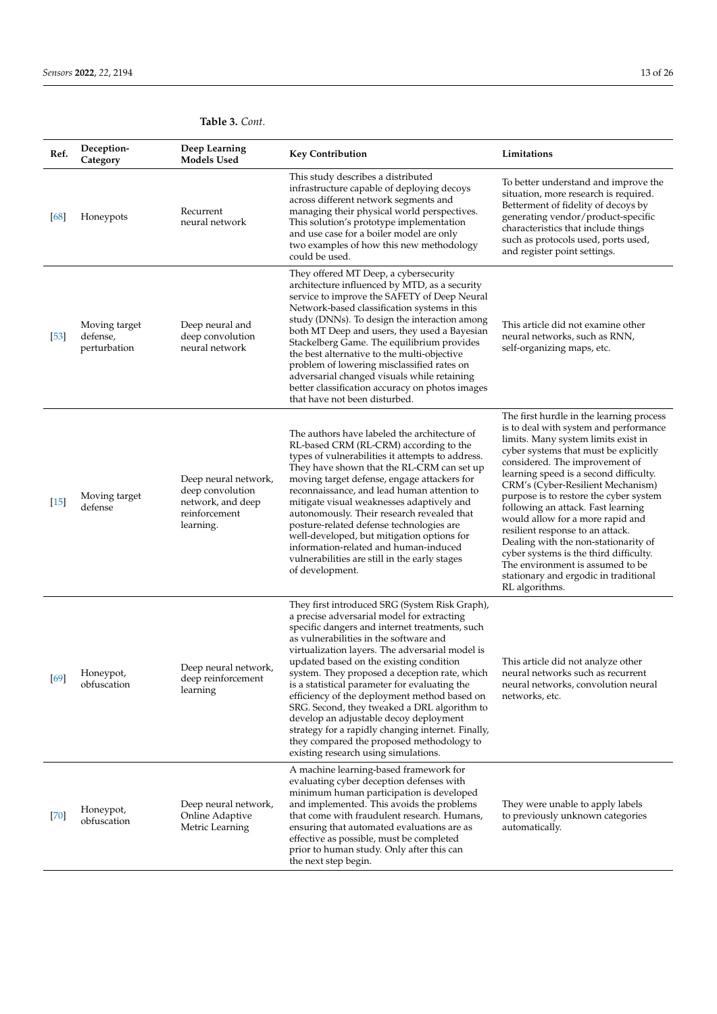# **Table 3.** *Cont.*

| Ref.   | Deception-<br>Category                    | Deep Learning<br><b>Models Used</b>                                                         | <b>Key Contribution</b>                                                                                                                                                                                                                                                                                                                                                                                                                                                                                                                                                                                                                                                       | Limitations                                                                                                                                                                                                                                                                                                                                                                                                                                                                                                                                                                                                                  |
|--------|-------------------------------------------|---------------------------------------------------------------------------------------------|-------------------------------------------------------------------------------------------------------------------------------------------------------------------------------------------------------------------------------------------------------------------------------------------------------------------------------------------------------------------------------------------------------------------------------------------------------------------------------------------------------------------------------------------------------------------------------------------------------------------------------------------------------------------------------|------------------------------------------------------------------------------------------------------------------------------------------------------------------------------------------------------------------------------------------------------------------------------------------------------------------------------------------------------------------------------------------------------------------------------------------------------------------------------------------------------------------------------------------------------------------------------------------------------------------------------|
| [68]   | Honeypots                                 | Recurrent<br>neural network                                                                 | This study describes a distributed<br>infrastructure capable of deploying decoys<br>across different network segments and<br>managing their physical world perspectives.<br>This solution's prototype implementation<br>and use case for a boiler model are only<br>two examples of how this new methodology<br>could be used.                                                                                                                                                                                                                                                                                                                                                | To better understand and improve the<br>situation, more research is required.<br>Betterment of fidelity of decoys by<br>generating vendor/product-specific<br>characteristics that include things<br>such as protocols used, ports used,<br>and register point settings.                                                                                                                                                                                                                                                                                                                                                     |
| $[53]$ | Moving target<br>defense,<br>perturbation | Deep neural and<br>deep convolution<br>neural network                                       | They offered MT Deep, a cybersecurity<br>architecture influenced by MTD, as a security<br>service to improve the SAFETY of Deep Neural<br>Network-based classification systems in this<br>study (DNNs). To design the interaction among<br>both MT Deep and users, they used a Bayesian<br>Stackelberg Game. The equilibrium provides<br>the best alternative to the multi-objective<br>problem of lowering misclassified rates on<br>adversarial changed visuals while retaining<br>better classification accuracy on photos images<br>that have not been disturbed.                                                                                                         | This article did not examine other<br>neural networks, such as RNN,<br>self-organizing maps, etc.                                                                                                                                                                                                                                                                                                                                                                                                                                                                                                                            |
| $[15]$ | Moving target<br>defense                  | Deep neural network,<br>deep convolution<br>network, and deep<br>reinforcement<br>learning. | The authors have labeled the architecture of<br>RL-based CRM (RL-CRM) according to the<br>types of vulnerabilities it attempts to address.<br>They have shown that the RL-CRM can set up<br>moving target defense, engage attackers for<br>reconnaissance, and lead human attention to<br>mitigate visual weaknesses adaptively and<br>autonomously. Their research revealed that<br>posture-related defense technologies are<br>well-developed, but mitigation options for<br>information-related and human-induced<br>vulnerabilities are still in the early stages<br>of development.                                                                                      | The first hurdle in the learning process<br>is to deal with system and performance<br>limits. Many system limits exist in<br>cyber systems that must be explicitly<br>considered. The improvement of<br>learning speed is a second difficulty.<br>CRM's (Cyber-Resilient Mechanism)<br>purpose is to restore the cyber system<br>following an attack. Fast learning<br>would allow for a more rapid and<br>resilient response to an attack.<br>Dealing with the non-stationarity of<br>cyber systems is the third difficulty.<br>The environment is assumed to be<br>stationary and ergodic in traditional<br>RL algorithms. |
| $[69]$ | Honeypot,<br>obfuscation                  | Deep neural network,<br>deep reinforcement<br>learning                                      | They first introduced SRG (System Risk Graph),<br>a precise adversarial model for extracting<br>specific dangers and internet treatments, such<br>as vulnerabilities in the software and<br>virtualization layers. The adversarial model is<br>updated based on the existing condition<br>system. They proposed a deception rate, which<br>is a statistical parameter for evaluating the<br>efficiency of the deployment method based on<br>SRG. Second, they tweaked a DRL algorithm to<br>develop an adjustable decoy deployment<br>strategy for a rapidly changing internet. Finally,<br>they compared the proposed methodology to<br>existing research using simulations. | This article did not analyze other<br>neural networks such as recurrent<br>neural networks, convolution neural<br>networks, etc.                                                                                                                                                                                                                                                                                                                                                                                                                                                                                             |
| $[70]$ | Honeypot,<br>obfuscation                  | Deep neural network,<br>Online Adaptive<br>Metric Learning                                  | A machine learning-based framework for<br>evaluating cyber deception defenses with<br>minimum human participation is developed<br>and implemented. This avoids the problems<br>that come with fraudulent research. Humans,<br>ensuring that automated evaluations are as<br>effective as possible, must be completed<br>prior to human study. Only after this can<br>the next step begin.                                                                                                                                                                                                                                                                                     | They were unable to apply labels<br>to previously unknown categories<br>automatically.                                                                                                                                                                                                                                                                                                                                                                                                                                                                                                                                       |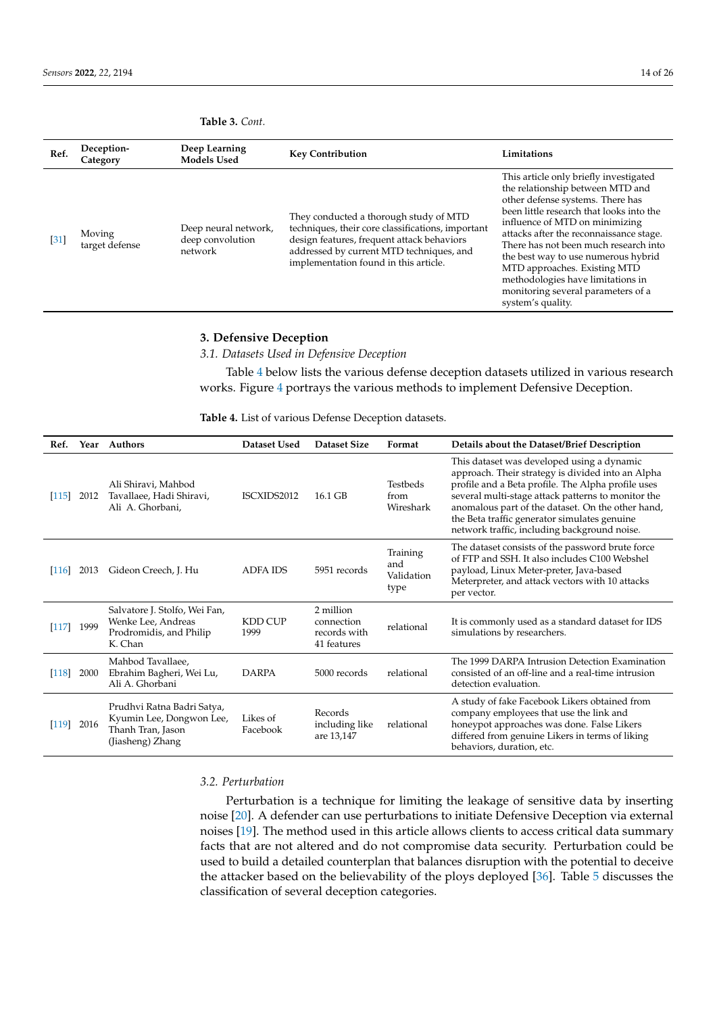**Table 3.** *Cont.*

| Ref.              | Deception-<br>Category   | Deep Learning<br><b>Models Used</b>                 | <b>Key Contribution</b>                                                                                                                                                                                                        | Limitations                                                                                                                                                                                                                                                                                                                                                                                                                                             |
|-------------------|--------------------------|-----------------------------------------------------|--------------------------------------------------------------------------------------------------------------------------------------------------------------------------------------------------------------------------------|---------------------------------------------------------------------------------------------------------------------------------------------------------------------------------------------------------------------------------------------------------------------------------------------------------------------------------------------------------------------------------------------------------------------------------------------------------|
| $\left[31\right]$ | Moving<br>target defense | Deep neural network,<br>deep convolution<br>network | They conducted a thorough study of MTD<br>techniques, their core classifications, important<br>design features, frequent attack behaviors<br>addressed by current MTD techniques, and<br>implementation found in this article. | This article only briefly investigated<br>the relationship between MTD and<br>other defense systems. There has<br>been little research that looks into the<br>influence of MTD on minimizing<br>attacks after the reconnaissance stage.<br>There has not been much research into<br>the best way to use numerous hybrid<br>MTD approaches. Existing MTD<br>methodologies have limitations in<br>monitoring several parameters of a<br>system's quality. |

## **3. Defensive Deception**

*3.1. Datasets Used in Defensive Deception*

Table 4 below lists the various defense deception datasets utilized in various research works. Figure 4 portrays the various methods to implement Defensive Deception.

**Table 4.** List of various Defense Deception datasets.

| Ref.    |      | Year Authors                                                                                    | Dataset Used           | Dataset Size                                           | Format                                | Details about the Dataset/Brief Description                                                                                                                                                                                                                                                                                                                      |
|---------|------|-------------------------------------------------------------------------------------------------|------------------------|--------------------------------------------------------|---------------------------------------|------------------------------------------------------------------------------------------------------------------------------------------------------------------------------------------------------------------------------------------------------------------------------------------------------------------------------------------------------------------|
| $[115]$ | 2012 | Ali Shiravi, Mahbod<br>Tavallaee, Hadi Shiravi,<br>Ali A. Ghorbani,                             | ISCXIDS2012            | 16.1 GB                                                | Testbeds<br>from<br>Wireshark         | This dataset was developed using a dynamic<br>approach. Their strategy is divided into an Alpha<br>profile and a Beta profile. The Alpha profile uses<br>several multi-stage attack patterns to monitor the<br>anomalous part of the dataset. On the other hand,<br>the Beta traffic generator simulates genuine<br>network traffic, including background noise. |
| [116]   | 2013 | Gideon Creech, J. Hu                                                                            | ADFA IDS               | 5951 records                                           | Training<br>and<br>Validation<br>type | The dataset consists of the password brute force<br>of FTP and SSH. It also includes C100 Webshel<br>payload, Linux Meter-preter, Java-based<br>Meterpreter, and attack vectors with 10 attacks<br>per vector.                                                                                                                                                   |
| $[117]$ | 1999 | Salvatore J. Stolfo, Wei Fan,<br>Wenke Lee, Andreas<br>Prodromidis, and Philip<br>K. Chan       | <b>KDD CUP</b><br>1999 | 2 million<br>connection<br>records with<br>41 features | relational                            | It is commonly used as a standard dataset for IDS<br>simulations by researchers.                                                                                                                                                                                                                                                                                 |
| $[118]$ | 2000 | Mahbod Tavallaee,<br>Ebrahim Bagheri, Wei Lu,<br>Ali A. Ghorbani                                | <b>DARPA</b>           | 5000 records                                           | relational                            | The 1999 DARPA Intrusion Detection Examination<br>consisted of an off-line and a real-time intrusion<br>detection evaluation.                                                                                                                                                                                                                                    |
| $[119]$ | 2016 | Prudhvi Ratna Badri Satya,<br>Kyumin Lee, Dongwon Lee,<br>Thanh Tran, Jason<br>(Jiasheng) Zhang | Likes of<br>Facebook   | Records<br>including like<br>are 13,147                | relational                            | A study of fake Facebook Likers obtained from<br>company employees that use the link and<br>honeypot approaches was done. False Likers<br>differed from genuine Likers in terms of liking<br>behaviors, duration, etc.                                                                                                                                           |

*3.2. Perturbation*

Perturbation is a technique for limiting the leakage of sensitive data by inserting noise [20]. A defender can use perturbations to initiate Defensive Deception via external noises [19]. The method used in this article allows clients to access critical data summary facts that are not altered and do not compromise data security. Perturbation could be used to build a detailed counterplan that balances disruption with the potential to deceive the attacker based on the believability of the ploys deployed [36]. Table 5 discusses the classification of several deception categories.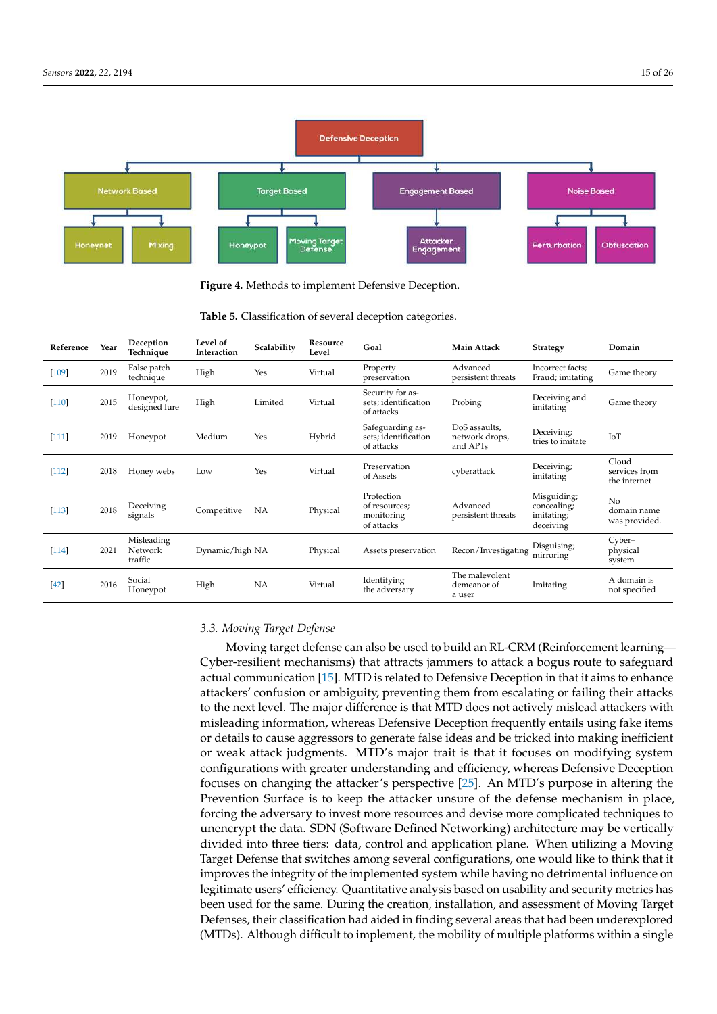

**Figure 4.** Methods to implement Defensive Deception.

| Reference | Year | Deception<br>Technique           | Level of<br>Interaction | Scalability | Resource<br>Level | Goal                                                    | <b>Main Attack</b>                          | <b>Strategy</b>                                       | Domain                                         |
|-----------|------|----------------------------------|-------------------------|-------------|-------------------|---------------------------------------------------------|---------------------------------------------|-------------------------------------------------------|------------------------------------------------|
| $[109]$   | 2019 | False patch<br>technique         | High                    | Yes         | Virtual           | Property<br>preservation                                | Advanced<br>persistent threats              | Incorrect facts;<br>Fraud; imitating                  | Game theory                                    |
| $[110]$   | 2015 | Honeypot,<br>designed lure       | High                    | Limited     | Virtual           | Security for as-<br>sets; identification<br>of attacks  | Probing                                     | Deceiving and<br>imitating                            | Game theory                                    |
| $[111]$   | 2019 | Honeypot                         | Medium                  | Yes         | Hybrid            | Safeguarding as-<br>sets; identification<br>of attacks  | DoS assaults,<br>network drops,<br>and APTs | Deceiving;<br>tries to imitate                        | IoT                                            |
| $[112]$   | 2018 | Honey webs                       | Low                     | Yes         | Virtual           | Preservation<br>of Assets                               | cyberattack                                 | Deceiving;<br>imitating                               | Cloud<br>services from<br>the internet         |
| $[113]$   | 2018 | Deceiving<br>signals             | Competitive             | <b>NA</b>   | Physical          | Protection<br>of resources:<br>monitoring<br>of attacks | Advanced<br>persistent threats              | Misguiding;<br>concealing;<br>imitating;<br>deceiving | N <sub>0</sub><br>domain name<br>was provided. |
| $[114]$   | 2021 | Misleading<br>Network<br>traffic | Dynamic/high NA         |             | Physical          | Assets preservation                                     | Recon/Investigating                         | Disguising;<br>mirroring                              | Cyber-<br>physical<br>system                   |
| $[42]$    | 2016 | Social<br>Honeypot               | High                    | <b>NA</b>   | Virtual           | Identifying<br>the adversary                            | The malevolent<br>demeanor of<br>a user     | Imitating                                             | A domain is<br>not specified                   |

**Table 5.** Classification of several deception categories.

## *3.3. Moving Target Defense*

Moving target defense can also be used to build an RL-CRM (Reinforcement learning— Cyber-resilient mechanisms) that attracts jammers to attack a bogus route to safeguard actual communication [15]. MTD is related to Defensive Deception in that it aims to enhance attackers' confusion or ambiguity, preventing them from escalating or failing their attacks to the next level. The major difference is that MTD does not actively mislead attackers with misleading information, whereas Defensive Deception frequently entails using fake items or details to cause aggressors to generate false ideas and be tricked into making inefficient or weak attack judgments. MTD's major trait is that it focuses on modifying system configurations with greater understanding and efficiency, whereas Defensive Deception focuses on changing the attacker's perspective [25]. An MTD's purpose in altering the Prevention Surface is to keep the attacker unsure of the defense mechanism in place, forcing the adversary to invest more resources and devise more complicated techniques to unencrypt the data. SDN (Software Defined Networking) architecture may be vertically divided into three tiers: data, control and application plane. When utilizing a Moving Target Defense that switches among several configurations, one would like to think that it improves the integrity of the implemented system while having no detrimental influence on legitimate users' efficiency. Quantitative analysis based on usability and security metrics has been used for the same. During the creation, installation, and assessment of Moving Target Defenses, their classification had aided in finding several areas that had been underexplored (MTDs). Although difficult to implement, the mobility of multiple platforms within a single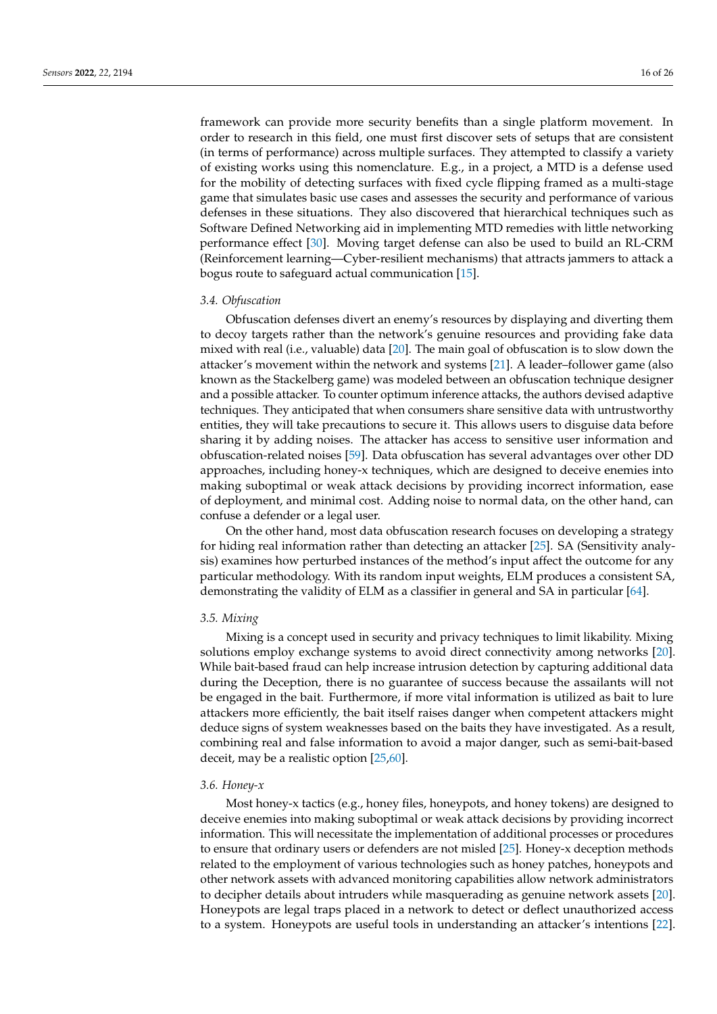framework can provide more security benefits than a single platform movement. In order to research in this field, one must first discover sets of setups that are consistent (in terms of performance) across multiple surfaces. They attempted to classify a variety of existing works using this nomenclature. E.g., in a project, a MTD is a defense used for the mobility of detecting surfaces with fixed cycle flipping framed as a multi-stage game that simulates basic use cases and assesses the security and performance of various defenses in these situations. They also discovered that hierarchical techniques such as Software Defined Networking aid in implementing MTD remedies with little networking performance effect [30]. Moving target defense can also be used to build an RL-CRM (Reinforcement learning—Cyber-resilient mechanisms) that attracts jammers to attack a bogus route to safeguard actual communication [15].

#### *3.4. Obfuscation*

Obfuscation defenses divert an enemy's resources by displaying and diverting them to decoy targets rather than the network's genuine resources and providing fake data mixed with real (i.e., valuable) data [20]. The main goal of obfuscation is to slow down the attacker's movement within the network and systems [21]. A leader–follower game (also known as the Stackelberg game) was modeled between an obfuscation technique designer and a possible attacker. To counter optimum inference attacks, the authors devised adaptive techniques. They anticipated that when consumers share sensitive data with untrustworthy entities, they will take precautions to secure it. This allows users to disguise data before sharing it by adding noises. The attacker has access to sensitive user information and obfuscation-related noises [59]. Data obfuscation has several advantages over other DD approaches, including honey-x techniques, which are designed to deceive enemies into making suboptimal or weak attack decisions by providing incorrect information, ease of deployment, and minimal cost. Adding noise to normal data, on the other hand, can confuse a defender or a legal user.

On the other hand, most data obfuscation research focuses on developing a strategy for hiding real information rather than detecting an attacker [25]. SA (Sensitivity analysis) examines how perturbed instances of the method's input affect the outcome for any particular methodology. With its random input weights, ELM produces a consistent SA, demonstrating the validity of ELM as a classifier in general and SA in particular [64].

#### *3.5. Mixing*

Mixing is a concept used in security and privacy techniques to limit likability. Mixing solutions employ exchange systems to avoid direct connectivity among networks [20]. While bait-based fraud can help increase intrusion detection by capturing additional data during the Deception, there is no guarantee of success because the assailants will not be engaged in the bait. Furthermore, if more vital information is utilized as bait to lure attackers more efficiently, the bait itself raises danger when competent attackers might deduce signs of system weaknesses based on the baits they have investigated. As a result, combining real and false information to avoid a major danger, such as semi-bait-based deceit, may be a realistic option [25,60].

#### *3.6. Honey-x*

Most honey-x tactics (e.g., honey files, honeypots, and honey tokens) are designed to deceive enemies into making suboptimal or weak attack decisions by providing incorrect information. This will necessitate the implementation of additional processes or procedures to ensure that ordinary users or defenders are not misled [25]. Honey-x deception methods related to the employment of various technologies such as honey patches, honeypots and other network assets with advanced monitoring capabilities allow network administrators to decipher details about intruders while masquerading as genuine network assets [20]. Honeypots are legal traps placed in a network to detect or deflect unauthorized access to a system. Honeypots are useful tools in understanding an attacker's intentions [22].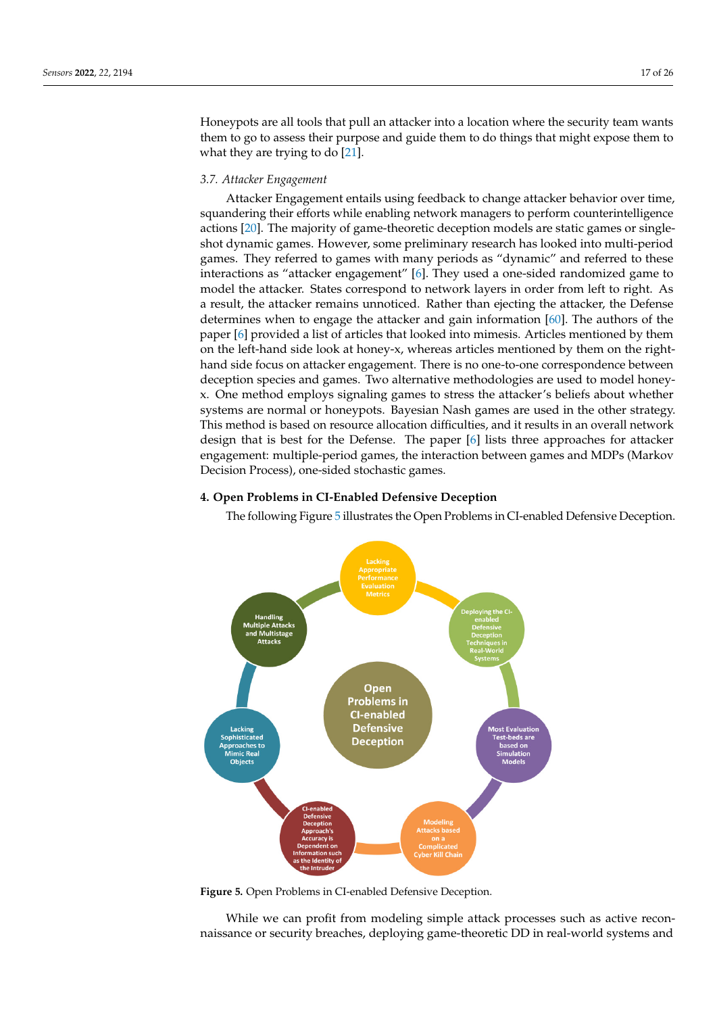Honeypots are all tools that pull an attacker into a location where the security team wants them to go to assess their purpose and guide them to do things that might expose them to what they are trying to do [21].

## *3.7. Attacker Engagement*

Attacker Engagement entails using feedback to change attacker behavior over time, squandering their efforts while enabling network managers to perform counterintelligence actions [20]. The majority of game-theoretic deception models are static games or singleshot dynamic games. However, some preliminary research has looked into multi-period games. They referred to games with many periods as "dynamic" and referred to these interactions as "attacker engagement" [6]. They used a one-sided randomized game to model the attacker. States correspond to network layers in order from left to right. As a result, the attacker remains unnoticed. Rather than ejecting the attacker, the Defense determines when to engage the attacker and gain information [60]. The authors of the paper [6] provided a list of articles that looked into mimesis. Articles mentioned by them on the left-hand side look at honey-x, whereas articles mentioned by them on the righthand side focus on attacker engagement. There is no one-to-one correspondence between deception species and games. Two alternative methodologies are used to model honeyx. One method employs signaling games to stress the attacker's beliefs about whether systems are normal or honeypots. Bayesian Nash games are used in the other strategy. This method is based on resource allocation difficulties, and it results in an overall network design that is best for the Defense. The paper [6] lists three approaches for attacker engagement: multiple-period games, the interaction between games and MDPs (Markov Decision Process), one-sided stochastic games.

## **4. Open Problems in CI-Enabled Defensive Deception**

The following Figure 5 illustrates the Open Problems in CI-enabled Defensive Deception.



**Figure 5.** Open Problems in CI-enabled Defensive Deception.

While we can profit from modeling simple attack processes such as active reconnaissance or security breaches, deploying game-theoretic DD in real-world systems and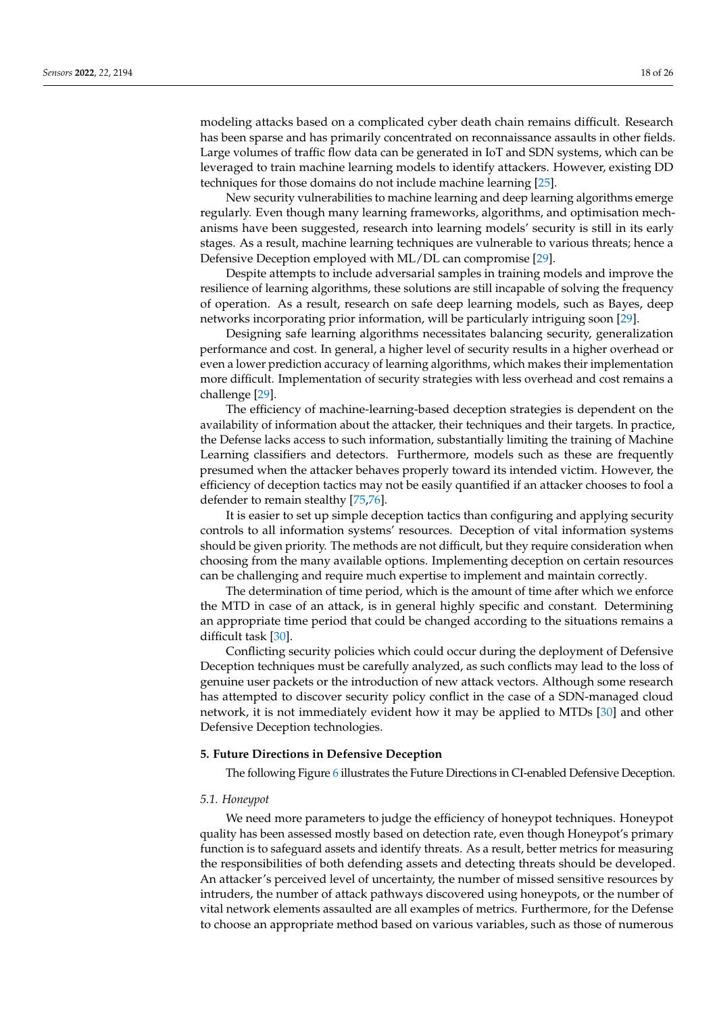modeling attacks based on a complicated cyber death chain remains difficult. Research has been sparse and has primarily concentrated on reconnaissance assaults in other fields. Large volumes of traffic flow data can be generated in IoT and SDN systems, which can be leveraged to train machine learning models to identify attackers. However, existing DD techniques for those domains do not include machine learning [25].

New security vulnerabilities to machine learning and deep learning algorithms emerge regularly. Even though many learning frameworks, algorithms, and optimisation mechanisms have been suggested, research into learning models' security is still in its early stages. As a result, machine learning techniques are vulnerable to various threats; hence a Defensive Deception employed with ML/DL can compromise [29].

Despite attempts to include adversarial samples in training models and improve the resilience of learning algorithms, these solutions are still incapable of solving the frequency of operation. As a result, research on safe deep learning models, such as Bayes, deep networks incorporating prior information, will be particularly intriguing soon [29].

Designing safe learning algorithms necessitates balancing security, generalization performance and cost. In general, a higher level of security results in a higher overhead or even a lower prediction accuracy of learning algorithms, which makes their implementation more difficult. Implementation of security strategies with less overhead and cost remains a challenge [29].

The efficiency of machine-learning-based deception strategies is dependent on the availability of information about the attacker, their techniques and their targets. In practice, the Defense lacks access to such information, substantially limiting the training of Machine Learning classifiers and detectors. Furthermore, models such as these are frequently presumed when the attacker behaves properly toward its intended victim. However, the efficiency of deception tactics may not be easily quantified if an attacker chooses to fool a defender to remain stealthy [75,76].

It is easier to set up simple deception tactics than configuring and applying security controls to all information systems' resources. Deception of vital information systems should be given priority. The methods are not difficult, but they require consideration when choosing from the many available options. Implementing deception on certain resources can be challenging and require much expertise to implement and maintain correctly.

The determination of time period, which is the amount of time after which we enforce the MTD in case of an attack, is in general highly specific and constant. Determining an appropriate time period that could be changed according to the situations remains a difficult task [30].

Conflicting security policies which could occur during the deployment of Defensive Deception techniques must be carefully analyzed, as such conflicts may lead to the loss of genuine user packets or the introduction of new attack vectors. Although some research has attempted to discover security policy conflict in the case of a SDN-managed cloud network, it is not immediately evident how it may be applied to MTDs [30] and other Defensive Deception technologies.

#### **5. Future Directions in Defensive Deception**

The following Figure 6 illustrates the Future Directions in CI-enabled Defensive Deception.

## *5.1. Honeypot*

We need more parameters to judge the efficiency of honeypot techniques. Honeypot quality has been assessed mostly based on detection rate, even though Honeypot's primary function is to safeguard assets and identify threats. As a result, better metrics for measuring the responsibilities of both defending assets and detecting threats should be developed. An attacker's perceived level of uncertainty, the number of missed sensitive resources by intruders, the number of attack pathways discovered using honeypots, or the number of vital network elements assaulted are all examples of metrics. Furthermore, for the Defense to choose an appropriate method based on various variables, such as those of numerous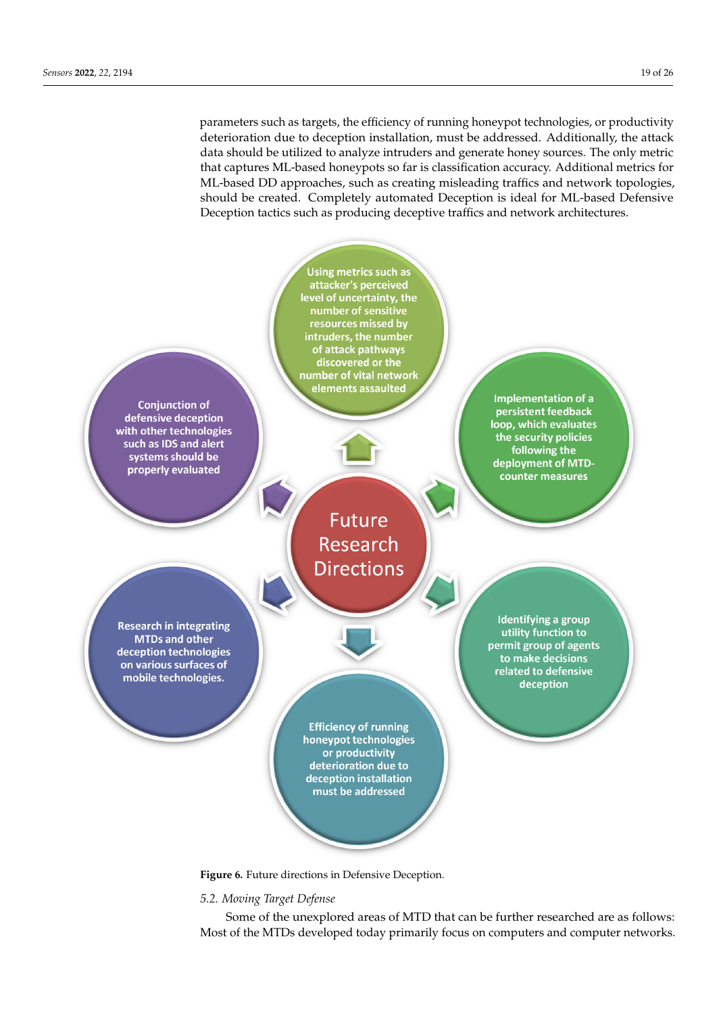parameters such as targets, the efficiency of running honeypot technologies, or productivity deterioration due to deception installation, must be addressed. Additionally, the attack data should be utilized to analyze intruders and generate honey sources. The only metric that captures ML-based honeypots so far is classification accuracy. Additional metrics for ML-based DD approaches, such as creating misleading traffics and network topologies, should be created. Completely automated Deception is ideal for ML-based Defensive Deception tactics such as producing deceptive traffics and network architectures.



**Figure 6.** Future directions in Defensive Deception.

# *5.2. Moving Target Defense*

Some of the unexplored areas of MTD that can be further researched are as follows: Most of the MTDs developed today primarily focus on computers and computer networks.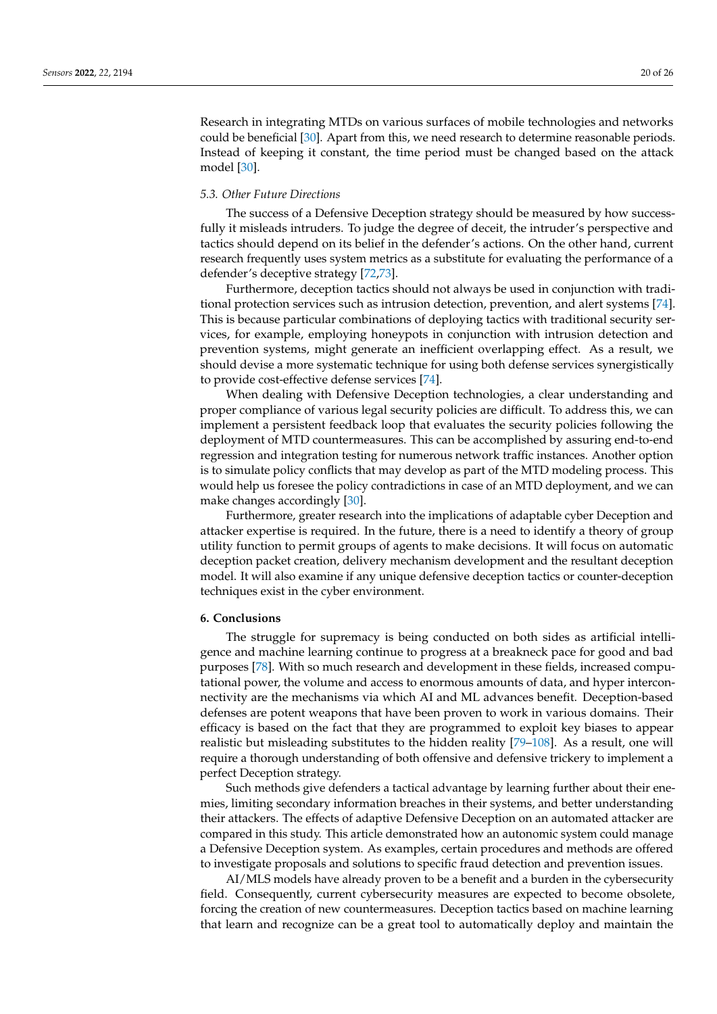Research in integrating MTDs on various surfaces of mobile technologies and networks could be beneficial [30]. Apart from this, we need research to determine reasonable periods. Instead of keeping it constant, the time period must be changed based on the attack model [30].

#### *5.3. Other Future Directions*

The success of a Defensive Deception strategy should be measured by how successfully it misleads intruders. To judge the degree of deceit, the intruder's perspective and tactics should depend on its belief in the defender's actions. On the other hand, current research frequently uses system metrics as a substitute for evaluating the performance of a defender's deceptive strategy [72,73].

Furthermore, deception tactics should not always be used in conjunction with traditional protection services such as intrusion detection, prevention, and alert systems [74]. This is because particular combinations of deploying tactics with traditional security services, for example, employing honeypots in conjunction with intrusion detection and prevention systems, might generate an inefficient overlapping effect. As a result, we should devise a more systematic technique for using both defense services synergistically to provide cost-effective defense services [74].

When dealing with Defensive Deception technologies, a clear understanding and proper compliance of various legal security policies are difficult. To address this, we can implement a persistent feedback loop that evaluates the security policies following the deployment of MTD countermeasures. This can be accomplished by assuring end-to-end regression and integration testing for numerous network traffic instances. Another option is to simulate policy conflicts that may develop as part of the MTD modeling process. This would help us foresee the policy contradictions in case of an MTD deployment, and we can make changes accordingly [30].

Furthermore, greater research into the implications of adaptable cyber Deception and attacker expertise is required. In the future, there is a need to identify a theory of group utility function to permit groups of agents to make decisions. It will focus on automatic deception packet creation, delivery mechanism development and the resultant deception model. It will also examine if any unique defensive deception tactics or counter-deception techniques exist in the cyber environment.

#### **6. Conclusions**

The struggle for supremacy is being conducted on both sides as artificial intelligence and machine learning continue to progress at a breakneck pace for good and bad purposes [78]. With so much research and development in these fields, increased computational power, the volume and access to enormous amounts of data, and hyper interconnectivity are the mechanisms via which AI and ML advances benefit. Deception-based defenses are potent weapons that have been proven to work in various domains. Their efficacy is based on the fact that they are programmed to exploit key biases to appear realistic but misleading substitutes to the hidden reality [79–108]. As a result, one will require a thorough understanding of both offensive and defensive trickery to implement a perfect Deception strategy.

Such methods give defenders a tactical advantage by learning further about their enemies, limiting secondary information breaches in their systems, and better understanding their attackers. The effects of adaptive Defensive Deception on an automated attacker are compared in this study. This article demonstrated how an autonomic system could manage a Defensive Deception system. As examples, certain procedures and methods are offered to investigate proposals and solutions to specific fraud detection and prevention issues.

AI/MLS models have already proven to be a benefit and a burden in the cybersecurity field. Consequently, current cybersecurity measures are expected to become obsolete, forcing the creation of new countermeasures. Deception tactics based on machine learning that learn and recognize can be a great tool to automatically deploy and maintain the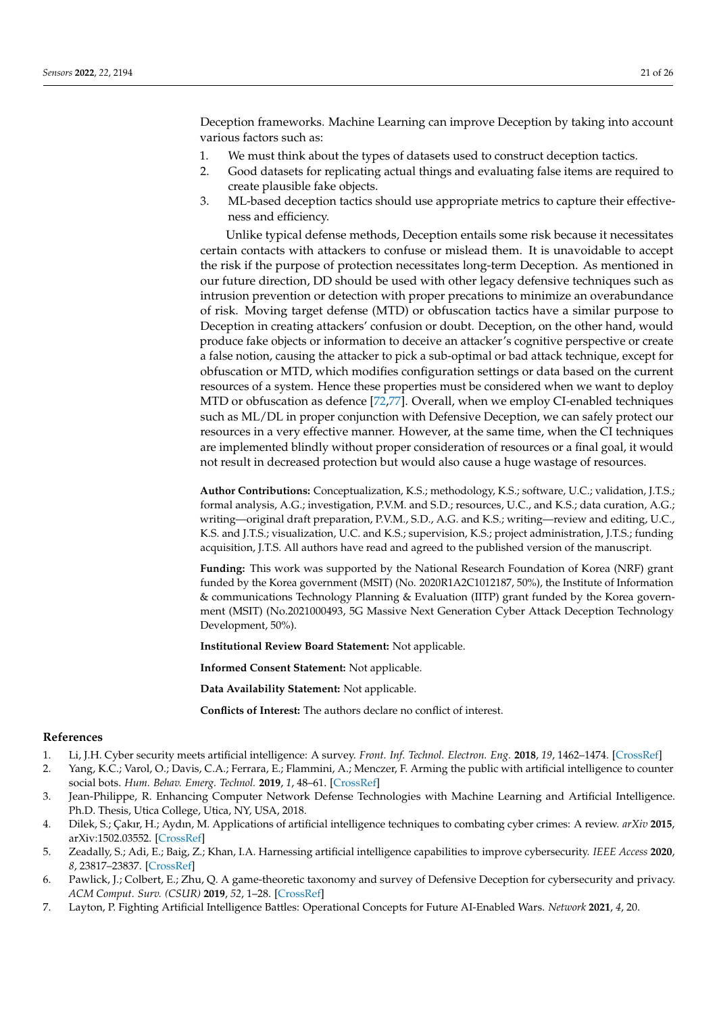Deception frameworks. Machine Learning can improve Deception by taking into account various factors such as:

- 1. We must think about the types of datasets used to construct deception tactics.
- 2. Good datasets for replicating actual things and evaluating false items are required to create plausible fake objects.
- 3. ML-based deception tactics should use appropriate metrics to capture their effectiveness and efficiency.

Unlike typical defense methods, Deception entails some risk because it necessitates certain contacts with attackers to confuse or mislead them. It is unavoidable to accept the risk if the purpose of protection necessitates long-term Deception. As mentioned in our future direction, DD should be used with other legacy defensive techniques such as intrusion prevention or detection with proper precations to minimize an overabundance of risk. Moving target defense (MTD) or obfuscation tactics have a similar purpose to Deception in creating attackers' confusion or doubt. Deception, on the other hand, would produce fake objects or information to deceive an attacker's cognitive perspective or create a false notion, causing the attacker to pick a sub-optimal or bad attack technique, except for obfuscation or MTD, which modifies configuration settings or data based on the current resources of a system. Hence these properties must be considered when we want to deploy MTD or obfuscation as defence [72,77]. Overall, when we employ CI-enabled techniques such as ML/DL in proper conjunction with Defensive Deception, we can safely protect our resources in a very effective manner. However, at the same time, when the CI techniques are implemented blindly without proper consideration of resources or a final goal, it would not result in decreased protection but would also cause a huge wastage of resources.

**Author Contributions:** Conceptualization, K.S.; methodology, K.S.; software, U.C.; validation, J.T.S.; formal analysis, A.G.; investigation, P.V.M. and S.D.; resources, U.C., and K.S.; data curation, A.G.; writing—original draft preparation, P.V.M., S.D., A.G. and K.S.; writing—review and editing, U.C., K.S. and J.T.S.; visualization, U.C. and K.S.; supervision, K.S.; project administration, J.T.S.; funding acquisition, J.T.S. All authors have read and agreed to the published version of the manuscript.

**Funding:** This work was supported by the National Research Foundation of Korea (NRF) grant funded by the Korea government (MSIT) (No. 2020R1A2C1012187, 50%), the Institute of Information & communications Technology Planning & Evaluation (IITP) grant funded by the Korea government (MSIT) (No.2021000493, 5G Massive Next Generation Cyber Attack Deception Technology Development, 50%).

**Institutional Review Board Statement:** Not applicable.

**Informed Consent Statement:** Not applicable.

**Data Availability Statement:** Not applicable.

**Conflicts of Interest:** The authors declare no conflict of interest.

#### **References**

- 1. Li, J.H. Cyber security meets artificial intelligence: A survey. *Front. Inf. Technol. Electron. Eng.* **2018**, *19*, 1462–1474. [CrossRef]
- 2. Yang, K.C.; Varol, O.; Davis, C.A.; Ferrara, E.; Flammini, A.; Menczer, F. Arming the public with artificial intelligence to counter social bots. *Hum. Behav. Emerg. Technol.* **2019**, *1*, 48–61. [CrossRef]
- 3. Jean-Philippe, R. Enhancing Computer Network Defense Technologies with Machine Learning and Artificial Intelligence. Ph.D. Thesis, Utica College, Utica, NY, USA, 2018.
- 4. Dilek, S.; Çakır, H.; Aydın, M. Applications of artificial intelligence techniques to combating cyber crimes: A review. *arXiv* **2015**, arXiv:1502.03552. [CrossRef]
- 5. Zeadally, S.; Adi, E.; Baig, Z.; Khan, I.A. Harnessing artificial intelligence capabilities to improve cybersecurity. *IEEE Access* **2020**, *8*, 23817–23837. [CrossRef]
- 6. Pawlick, J.; Colbert, E.; Zhu, Q. A game-theoretic taxonomy and survey of Defensive Deception for cybersecurity and privacy. *ACM Comput. Surv. (CSUR)* **2019**, *52*, 1–28. [CrossRef]
- 7. Layton, P. Fighting Artificial Intelligence Battles: Operational Concepts for Future AI-Enabled Wars. *Network* **2021**, *4*, 20.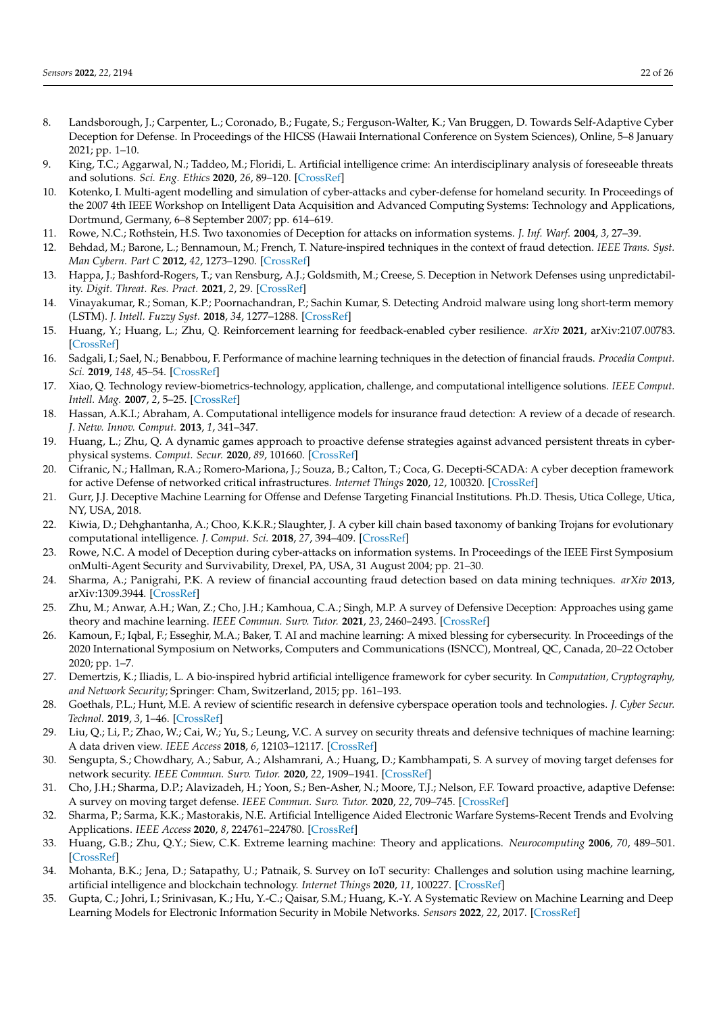- 8. Landsborough, J.; Carpenter, L.; Coronado, B.; Fugate, S.; Ferguson-Walter, K.; Van Bruggen, D. Towards Self-Adaptive Cyber Deception for Defense. In Proceedings of the HICSS (Hawaii International Conference on System Sciences), Online, 5–8 January 2021; pp. 1–10.
- 9. King, T.C.; Aggarwal, N.; Taddeo, M.; Floridi, L. Artificial intelligence crime: An interdisciplinary analysis of foreseeable threats and solutions. *Sci. Eng. Ethics* **2020**, *26*, 89–120. [CrossRef]
- 10. Kotenko, I. Multi-agent modelling and simulation of cyber-attacks and cyber-defense for homeland security. In Proceedings of the 2007 4th IEEE Workshop on Intelligent Data Acquisition and Advanced Computing Systems: Technology and Applications, Dortmund, Germany, 6–8 September 2007; pp. 614–619.
- 11. Rowe, N.C.; Rothstein, H.S. Two taxonomies of Deception for attacks on information systems. *J. Inf. Warf.* **2004**, *3*, 27–39.
- 12. Behdad, M.; Barone, L.; Bennamoun, M.; French, T. Nature-inspired techniques in the context of fraud detection. *IEEE Trans. Syst. Man Cybern. Part C* **2012**, *42*, 1273–1290. [CrossRef]
- 13. Happa, J.; Bashford-Rogers, T.; van Rensburg, A.J.; Goldsmith, M.; Creese, S. Deception in Network Defenses using unpredictability. *Digit. Threat. Res. Pract.* **2021**, *2*, 29. [CrossRef]
- 14. Vinayakumar, R.; Soman, K.P.; Poornachandran, P.; Sachin Kumar, S. Detecting Android malware using long short-term memory (LSTM). *J. Intell. Fuzzy Syst.* **2018**, *34*, 1277–1288. [CrossRef]
- 15. Huang, Y.; Huang, L.; Zhu, Q. Reinforcement learning for feedback-enabled cyber resilience. *arXiv* **2021**, arXiv:2107.00783. [CrossRef]
- 16. Sadgali, I.; Sael, N.; Benabbou, F. Performance of machine learning techniques in the detection of financial frauds. *Procedia Comput. Sci.* **2019**, *148*, 45–54. [CrossRef]
- 17. Xiao, Q. Technology review-biometrics-technology, application, challenge, and computational intelligence solutions. *IEEE Comput. Intell. Mag.* **2007**, *2*, 5–25. [CrossRef]
- 18. Hassan, A.K.I.; Abraham, A. Computational intelligence models for insurance fraud detection: A review of a decade of research. *J. Netw. Innov. Comput.* **2013**, *1*, 341–347.
- 19. Huang, L.; Zhu, Q. A dynamic games approach to proactive defense strategies against advanced persistent threats in cyberphysical systems. *Comput. Secur.* **2020**, *89*, 101660. [CrossRef]
- 20. Cifranic, N.; Hallman, R.A.; Romero-Mariona, J.; Souza, B.; Calton, T.; Coca, G. Decepti-SCADA: A cyber deception framework for active Defense of networked critical infrastructures. *Internet Things* **2020**, *12*, 100320. [CrossRef]
- 21. Gurr, J.J. Deceptive Machine Learning for Offense and Defense Targeting Financial Institutions. Ph.D. Thesis, Utica College, Utica, NY, USA, 2018.
- 22. Kiwia, D.; Dehghantanha, A.; Choo, K.K.R.; Slaughter, J. A cyber kill chain based taxonomy of banking Trojans for evolutionary computational intelligence. *J. Comput. Sci.* **2018**, *27*, 394–409. [CrossRef]
- 23. Rowe, N.C. A model of Deception during cyber-attacks on information systems. In Proceedings of the IEEE First Symposium onMulti-Agent Security and Survivability, Drexel, PA, USA, 31 August 2004; pp. 21–30.
- 24. Sharma, A.; Panigrahi, P.K. A review of financial accounting fraud detection based on data mining techniques. *arXiv* **2013**, arXiv:1309.3944. [CrossRef]
- 25. Zhu, M.; Anwar, A.H.; Wan, Z.; Cho, J.H.; Kamhoua, C.A.; Singh, M.P. A survey of Defensive Deception: Approaches using game theory and machine learning. *IEEE Commun. Surv. Tutor.* **2021**, *23*, 2460–2493. [CrossRef]
- 26. Kamoun, F.; Iqbal, F.; Esseghir, M.A.; Baker, T. AI and machine learning: A mixed blessing for cybersecurity. In Proceedings of the 2020 International Symposium on Networks, Computers and Communications (ISNCC), Montreal, QC, Canada, 20–22 October 2020; pp. 1–7.
- 27. Demertzis, K.; Iliadis, L. A bio-inspired hybrid artificial intelligence framework for cyber security. In *Computation, Cryptography, and Network Security*; Springer: Cham, Switzerland, 2015; pp. 161–193.
- 28. Goethals, P.L.; Hunt, M.E. A review of scientific research in defensive cyberspace operation tools and technologies. *J. Cyber Secur. Technol.* **2019**, *3*, 1–46. [CrossRef]
- 29. Liu, Q.; Li, P.; Zhao, W.; Cai, W.; Yu, S.; Leung, V.C. A survey on security threats and defensive techniques of machine learning: A data driven view. *IEEE Access* **2018**, *6*, 12103–12117. [CrossRef]
- 30. Sengupta, S.; Chowdhary, A.; Sabur, A.; Alshamrani, A.; Huang, D.; Kambhampati, S. A survey of moving target defenses for network security. *IEEE Commun. Surv. Tutor.* **2020**, *22*, 1909–1941. [CrossRef]
- 31. Cho, J.H.; Sharma, D.P.; Alavizadeh, H.; Yoon, S.; Ben-Asher, N.; Moore, T.J.; Nelson, F.F. Toward proactive, adaptive Defense: A survey on moving target defense. *IEEE Commun. Surv. Tutor.* **2020**, *22*, 709–745. [CrossRef]
- 32. Sharma, P.; Sarma, K.K.; Mastorakis, N.E. Artificial Intelligence Aided Electronic Warfare Systems-Recent Trends and Evolving Applications. *IEEE Access* **2020**, *8*, 224761–224780. [CrossRef]
- 33. Huang, G.B.; Zhu, Q.Y.; Siew, C.K. Extreme learning machine: Theory and applications. *Neurocomputing* **2006**, *70*, 489–501. [CrossRef]
- 34. Mohanta, B.K.; Jena, D.; Satapathy, U.; Patnaik, S. Survey on IoT security: Challenges and solution using machine learning, artificial intelligence and blockchain technology. *Internet Things* **2020**, *11*, 100227. [CrossRef]
- 35. Gupta, C.; Johri, I.; Srinivasan, K.; Hu, Y.-C.; Qaisar, S.M.; Huang, K.-Y. A Systematic Review on Machine Learning and Deep Learning Models for Electronic Information Security in Mobile Networks. *Sensors* **2022**, *22*, 2017. [CrossRef]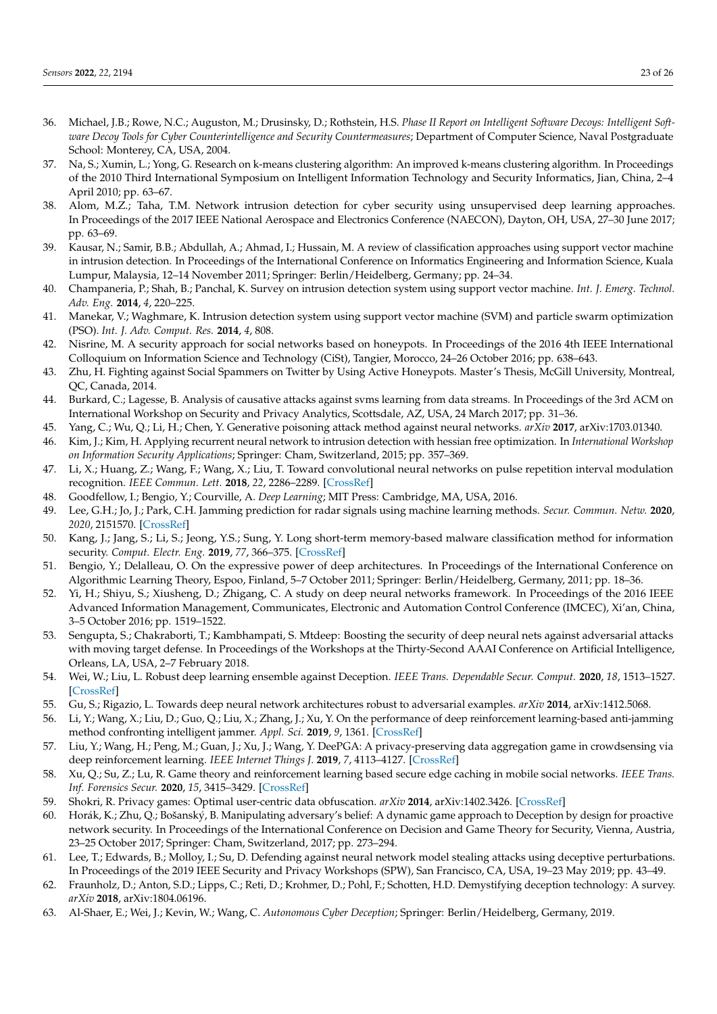- 36. Michael, J.B.; Rowe, N.C.; Auguston, M.; Drusinsky, D.; Rothstein, H.S. *Phase II Report on Intelligent Software Decoys: Intelligent Software Decoy Tools for Cyber Counterintelligence and Security Countermeasures*; Department of Computer Science, Naval Postgraduate School: Monterey, CA, USA, 2004.
- 37. Na, S.; Xumin, L.; Yong, G. Research on k-means clustering algorithm: An improved k-means clustering algorithm. In Proceedings of the 2010 Third International Symposium on Intelligent Information Technology and Security Informatics, Jian, China, 2–4 April 2010; pp. 63–67.
- 38. Alom, M.Z.; Taha, T.M. Network intrusion detection for cyber security using unsupervised deep learning approaches. In Proceedings of the 2017 IEEE National Aerospace and Electronics Conference (NAECON), Dayton, OH, USA, 27–30 June 2017; pp. 63–69.
- 39. Kausar, N.; Samir, B.B.; Abdullah, A.; Ahmad, I.; Hussain, M. A review of classification approaches using support vector machine in intrusion detection. In Proceedings of the International Conference on Informatics Engineering and Information Science, Kuala Lumpur, Malaysia, 12–14 November 2011; Springer: Berlin/Heidelberg, Germany; pp. 24–34.
- 40. Champaneria, P.; Shah, B.; Panchal, K. Survey on intrusion detection system using support vector machine. *Int. J. Emerg. Technol. Adv. Eng.* **2014**, *4*, 220–225.
- 41. Manekar, V.; Waghmare, K. Intrusion detection system using support vector machine (SVM) and particle swarm optimization (PSO). *Int. J. Adv. Comput. Res.* **2014**, *4*, 808.
- 42. Nisrine, M. A security approach for social networks based on honeypots. In Proceedings of the 2016 4th IEEE International Colloquium on Information Science and Technology (CiSt), Tangier, Morocco, 24–26 October 2016; pp. 638–643.
- 43. Zhu, H. Fighting against Social Spammers on Twitter by Using Active Honeypots. Master's Thesis, McGill University, Montreal, QC, Canada, 2014.
- 44. Burkard, C.; Lagesse, B. Analysis of causative attacks against svms learning from data streams. In Proceedings of the 3rd ACM on International Workshop on Security and Privacy Analytics, Scottsdale, AZ, USA, 24 March 2017; pp. 31–36.
- 45. Yang, C.; Wu, Q.; Li, H.; Chen, Y. Generative poisoning attack method against neural networks. *arXiv* **2017**, arXiv:1703.01340.
- 46. Kim, J.; Kim, H. Applying recurrent neural network to intrusion detection with hessian free optimization. In *International Workshop on Information Security Applications*; Springer: Cham, Switzerland, 2015; pp. 357–369.
- 47. Li, X.; Huang, Z.; Wang, F.; Wang, X.; Liu, T. Toward convolutional neural networks on pulse repetition interval modulation recognition. *IEEE Commun. Lett.* **2018**, *22*, 2286–2289. [CrossRef]
- 48. Goodfellow, I.; Bengio, Y.; Courville, A. *Deep Learning*; MIT Press: Cambridge, MA, USA, 2016.
- 49. Lee, G.H.; Jo, J.; Park, C.H. Jamming prediction for radar signals using machine learning methods. *Secur. Commun. Netw.* **2020**, *2020*, 2151570. [CrossRef]
- 50. Kang, J.; Jang, S.; Li, S.; Jeong, Y.S.; Sung, Y. Long short-term memory-based malware classification method for information security. *Comput. Electr. Eng.* **2019**, *77*, 366–375. [CrossRef]
- 51. Bengio, Y.; Delalleau, O. On the expressive power of deep architectures. In Proceedings of the International Conference on Algorithmic Learning Theory, Espoo, Finland, 5–7 October 2011; Springer: Berlin/Heidelberg, Germany, 2011; pp. 18–36.
- 52. Yi, H.; Shiyu, S.; Xiusheng, D.; Zhigang, C. A study on deep neural networks framework. In Proceedings of the 2016 IEEE Advanced Information Management, Communicates, Electronic and Automation Control Conference (IMCEC), Xi'an, China, 3–5 October 2016; pp. 1519–1522.
- 53. Sengupta, S.; Chakraborti, T.; Kambhampati, S. Mtdeep: Boosting the security of deep neural nets against adversarial attacks with moving target defense. In Proceedings of the Workshops at the Thirty-Second AAAI Conference on Artificial Intelligence, Orleans, LA, USA, 2–7 February 2018.
- 54. Wei, W.; Liu, L. Robust deep learning ensemble against Deception. *IEEE Trans. Dependable Secur. Comput.* **2020**, *18*, 1513–1527. [CrossRef]
- 55. Gu, S.; Rigazio, L. Towards deep neural network architectures robust to adversarial examples. *arXiv* **2014**, arXiv:1412.5068.
- 56. Li, Y.; Wang, X.; Liu, D.; Guo, Q.; Liu, X.; Zhang, J.; Xu, Y. On the performance of deep reinforcement learning-based anti-jamming method confronting intelligent jammer. *Appl. Sci.* **2019**, *9*, 1361. [CrossRef]
- 57. Liu, Y.; Wang, H.; Peng, M.; Guan, J.; Xu, J.; Wang, Y. DeePGA: A privacy-preserving data aggregation game in crowdsensing via deep reinforcement learning. *IEEE Internet Things J.* **2019**, *7*, 4113–4127. [CrossRef]
- 58. Xu, Q.; Su, Z.; Lu, R. Game theory and reinforcement learning based secure edge caching in mobile social networks. *IEEE Trans. Inf. Forensics Secur.* **2020**, *15*, 3415–3429. [CrossRef]
- 59. Shokri, R. Privacy games: Optimal user-centric data obfuscation. *arXiv* **2014**, arXiv:1402.3426. [CrossRef]
- 60. Horák, K.; Zhu, Q.; Bošanský, B. Manipulating adversary's belief: A dynamic game approach to Deception by design for proactive network security. In Proceedings of the International Conference on Decision and Game Theory for Security, Vienna, Austria, 23–25 October 2017; Springer: Cham, Switzerland, 2017; pp. 273–294.
- 61. Lee, T.; Edwards, B.; Molloy, I.; Su, D. Defending against neural network model stealing attacks using deceptive perturbations. In Proceedings of the 2019 IEEE Security and Privacy Workshops (SPW), San Francisco, CA, USA, 19–23 May 2019; pp. 43–49.
- 62. Fraunholz, D.; Anton, S.D.; Lipps, C.; Reti, D.; Krohmer, D.; Pohl, F.; Schotten, H.D. Demystifying deception technology: A survey. *arXiv* **2018**, arXiv:1804.06196.
- 63. Al-Shaer, E.; Wei, J.; Kevin, W.; Wang, C. *Autonomous Cyber Deception*; Springer: Berlin/Heidelberg, Germany, 2019.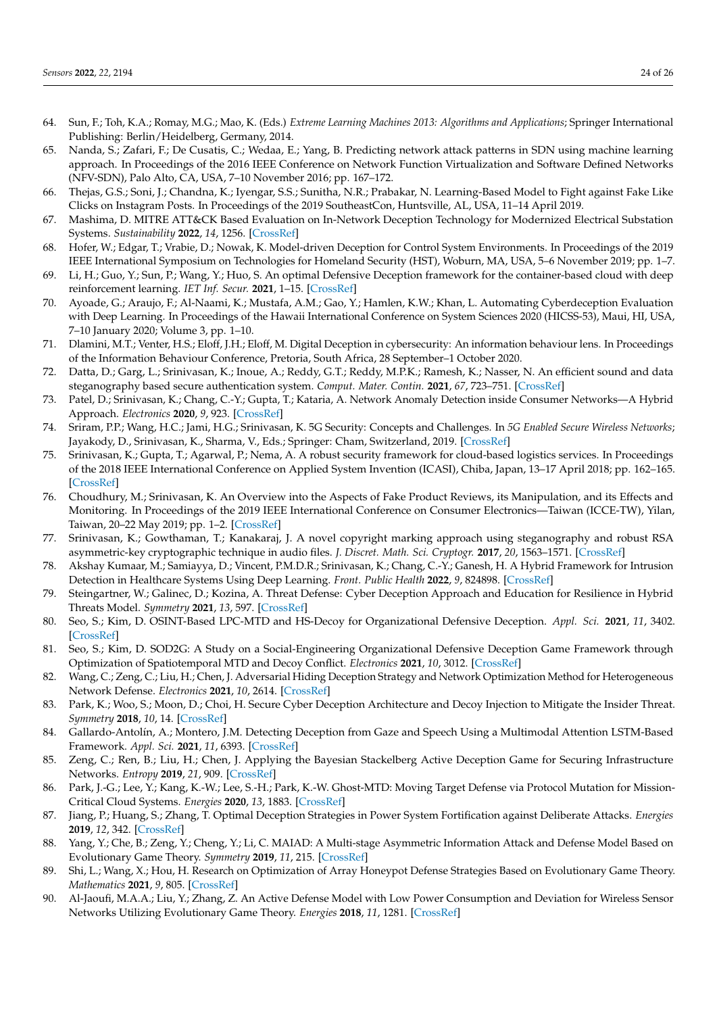- 64. Sun, F.; Toh, K.A.; Romay, M.G.; Mao, K. (Eds.) *Extreme Learning Machines 2013: Algorithms and Applications*; Springer International Publishing: Berlin/Heidelberg, Germany, 2014.
- 65. Nanda, S.; Zafari, F.; De Cusatis, C.; Wedaa, E.; Yang, B. Predicting network attack patterns in SDN using machine learning approach. In Proceedings of the 2016 IEEE Conference on Network Function Virtualization and Software Defined Networks (NFV-SDN), Palo Alto, CA, USA, 7–10 November 2016; pp. 167–172.
- 66. Thejas, G.S.; Soni, J.; Chandna, K.; Iyengar, S.S.; Sunitha, N.R.; Prabakar, N. Learning-Based Model to Fight against Fake Like Clicks on Instagram Posts. In Proceedings of the 2019 SoutheastCon, Huntsville, AL, USA, 11–14 April 2019.
- 67. Mashima, D. MITRE ATT&CK Based Evaluation on In-Network Deception Technology for Modernized Electrical Substation Systems. *Sustainability* **2022**, *14*, 1256. [CrossRef]
- 68. Hofer, W.; Edgar, T.; Vrabie, D.; Nowak, K. Model-driven Deception for Control System Environments. In Proceedings of the 2019 IEEE International Symposium on Technologies for Homeland Security (HST), Woburn, MA, USA, 5–6 November 2019; pp. 1–7.
- 69. Li, H.; Guo, Y.; Sun, P.; Wang, Y.; Huo, S. An optimal Defensive Deception framework for the container-based cloud with deep reinforcement learning. *IET Inf. Secur.* **2021**, 1–15. [CrossRef]
- 70. Ayoade, G.; Araujo, F.; Al-Naami, K.; Mustafa, A.M.; Gao, Y.; Hamlen, K.W.; Khan, L. Automating Cyberdeception Evaluation with Deep Learning. In Proceedings of the Hawaii International Conference on System Sciences 2020 (HICSS-53), Maui, HI, USA, 7–10 January 2020; Volume 3, pp. 1–10.
- 71. Dlamini, M.T.; Venter, H.S.; Eloff, J.H.; Eloff, M. Digital Deception in cybersecurity: An information behaviour lens. In Proceedings of the Information Behaviour Conference, Pretoria, South Africa, 28 September–1 October 2020.
- 72. Datta, D.; Garg, L.; Srinivasan, K.; Inoue, A.; Reddy, G.T.; Reddy, M.P.K.; Ramesh, K.; Nasser, N. An efficient sound and data steganography based secure authentication system. *Comput. Mater. Contin.* **2021**, *67*, 723–751. [CrossRef]
- 73. Patel, D.; Srinivasan, K.; Chang, C.-Y.; Gupta, T.; Kataria, A. Network Anomaly Detection inside Consumer Networks—A Hybrid Approach. *Electronics* **2020**, *9*, 923. [CrossRef]
- 74. Sriram, P.P.; Wang, H.C.; Jami, H.G.; Srinivasan, K. 5G Security: Concepts and Challenges. In *5G Enabled Secure Wireless Networks*; Jayakody, D., Srinivasan, K., Sharma, V., Eds.; Springer: Cham, Switzerland, 2019. [CrossRef]
- 75. Srinivasan, K.; Gupta, T.; Agarwal, P.; Nema, A. A robust security framework for cloud-based logistics services. In Proceedings of the 2018 IEEE International Conference on Applied System Invention (ICASI), Chiba, Japan, 13–17 April 2018; pp. 162–165. [CrossRef]
- 76. Choudhury, M.; Srinivasan, K. An Overview into the Aspects of Fake Product Reviews, its Manipulation, and its Effects and Monitoring. In Proceedings of the 2019 IEEE International Conference on Consumer Electronics—Taiwan (ICCE-TW), Yilan, Taiwan, 20–22 May 2019; pp. 1–2. [CrossRef]
- 77. Srinivasan, K.; Gowthaman, T.; Kanakaraj, J. A novel copyright marking approach using steganography and robust RSA asymmetric-key cryptographic technique in audio files. *J. Discret. Math. Sci. Cryptogr.* **2017**, *20*, 1563–1571. [CrossRef]
- 78. Akshay Kumaar, M.; Samiayya, D.; Vincent, P.M.D.R.; Srinivasan, K.; Chang, C.-Y.; Ganesh, H. A Hybrid Framework for Intrusion Detection in Healthcare Systems Using Deep Learning. *Front. Public Health* **2022**, *9*, 824898. [CrossRef]
- 79. Steingartner, W.; Galinec, D.; Kozina, A. Threat Defense: Cyber Deception Approach and Education for Resilience in Hybrid Threats Model. *Symmetry* **2021**, *13*, 597. [CrossRef]
- 80. Seo, S.; Kim, D. OSINT-Based LPC-MTD and HS-Decoy for Organizational Defensive Deception. *Appl. Sci.* **2021**, *11*, 3402. [CrossRef]
- 81. Seo, S.; Kim, D. SOD2G: A Study on a Social-Engineering Organizational Defensive Deception Game Framework through Optimization of Spatiotemporal MTD and Decoy Conflict. *Electronics* **2021**, *10*, 3012. [CrossRef]
- 82. Wang, C.; Zeng, C.; Liu, H.; Chen, J. Adversarial Hiding Deception Strategy and Network Optimization Method for Heterogeneous Network Defense. *Electronics* **2021**, *10*, 2614. [CrossRef]
- 83. Park, K.; Woo, S.; Moon, D.; Choi, H. Secure Cyber Deception Architecture and Decoy Injection to Mitigate the Insider Threat. *Symmetry* **2018**, *10*, 14. [CrossRef]
- 84. Gallardo-Antolín, A.; Montero, J.M. Detecting Deception from Gaze and Speech Using a Multimodal Attention LSTM-Based Framework. *Appl. Sci.* **2021**, *11*, 6393. [CrossRef]
- 85. Zeng, C.; Ren, B.; Liu, H.; Chen, J. Applying the Bayesian Stackelberg Active Deception Game for Securing Infrastructure Networks. *Entropy* **2019**, *21*, 909. [CrossRef]
- 86. Park, J.-G.; Lee, Y.; Kang, K.-W.; Lee, S.-H.; Park, K.-W. Ghost-MTD: Moving Target Defense via Protocol Mutation for Mission-Critical Cloud Systems. *Energies* **2020**, *13*, 1883. [CrossRef]
- 87. Jiang, P.; Huang, S.; Zhang, T. Optimal Deception Strategies in Power System Fortification against Deliberate Attacks. *Energies* **2019**, *12*, 342. [CrossRef]
- 88. Yang, Y.; Che, B.; Zeng, Y.; Cheng, Y.; Li, C. MAIAD: A Multi-stage Asymmetric Information Attack and Defense Model Based on Evolutionary Game Theory. *Symmetry* **2019**, *11*, 215. [CrossRef]
- 89. Shi, L.; Wang, X.; Hou, H. Research on Optimization of Array Honeypot Defense Strategies Based on Evolutionary Game Theory. *Mathematics* **2021**, *9*, 805. [CrossRef]
- 90. Al-Jaoufi, M.A.A.; Liu, Y.; Zhang, Z. An Active Defense Model with Low Power Consumption and Deviation for Wireless Sensor Networks Utilizing Evolutionary Game Theory. *Energies* **2018**, *11*, 1281. [CrossRef]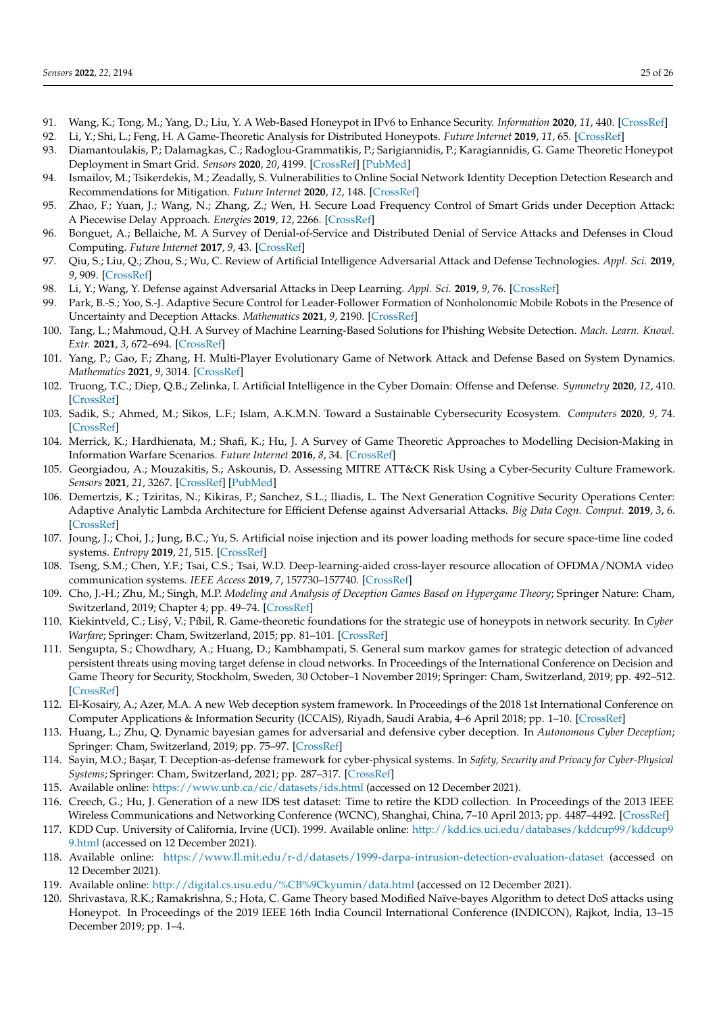- 91. Wang, K.; Tong, M.; Yang, D.; Liu, Y. A Web-Based Honeypot in IPv6 to Enhance Security. *Information* **2020**, *11*, 440. [CrossRef]
- 92. Li, Y.; Shi, L.; Feng, H. A Game-Theoretic Analysis for Distributed Honeypots. *Future Internet* **2019**, *11*, 65. [CrossRef]
- 93. Diamantoulakis, P.; Dalamagkas, C.; Radoglou-Grammatikis, P.; Sarigiannidis, P.; Karagiannidis, G. Game Theoretic Honeypot Deployment in Smart Grid. *Sensors* **2020**, *20*, 4199. [CrossRef] [PubMed]
- 94. Ismailov, M.; Tsikerdekis, M.; Zeadally, S. Vulnerabilities to Online Social Network Identity Deception Detection Research and Recommendations for Mitigation. *Future Internet* **2020**, *12*, 148. [CrossRef]
- 95. Zhao, F.; Yuan, J.; Wang, N.; Zhang, Z.; Wen, H. Secure Load Frequency Control of Smart Grids under Deception Attack: A Piecewise Delay Approach. *Energies* **2019**, *12*, 2266. [CrossRef]
- 96. Bonguet, A.; Bellaiche, M. A Survey of Denial-of-Service and Distributed Denial of Service Attacks and Defenses in Cloud Computing. *Future Internet* **2017**, *9*, 43. [CrossRef]
- 97. Qiu, S.; Liu, Q.; Zhou, S.; Wu, C. Review of Artificial Intelligence Adversarial Attack and Defense Technologies. *Appl. Sci.* **2019**, *9*, 909. [CrossRef]
- 98. Li, Y.; Wang, Y. Defense against Adversarial Attacks in Deep Learning. *Appl. Sci.* **2019**, *9*, 76. [CrossRef]
- 99. Park, B.-S.; Yoo, S.-J. Adaptive Secure Control for Leader-Follower Formation of Nonholonomic Mobile Robots in the Presence of Uncertainty and Deception Attacks. *Mathematics* **2021**, *9*, 2190. [CrossRef]
- 100. Tang, L.; Mahmoud, Q.H. A Survey of Machine Learning-Based Solutions for Phishing Website Detection. *Mach. Learn. Knowl. Extr.* **2021**, *3*, 672–694. [CrossRef]
- 101. Yang, P.; Gao, F.; Zhang, H. Multi-Player Evolutionary Game of Network Attack and Defense Based on System Dynamics. *Mathematics* **2021**, *9*, 3014. [CrossRef]
- 102. Truong, T.C.; Diep, Q.B.; Zelinka, I. Artificial Intelligence in the Cyber Domain: Offense and Defense. *Symmetry* **2020**, *12*, 410. [CrossRef]
- 103. Sadik, S.; Ahmed, M.; Sikos, L.F.; Islam, A.K.M.N. Toward a Sustainable Cybersecurity Ecosystem. *Computers* **2020**, *9*, 74. [CrossRef]
- 104. Merrick, K.; Hardhienata, M.; Shafi, K.; Hu, J. A Survey of Game Theoretic Approaches to Modelling Decision-Making in Information Warfare Scenarios. *Future Internet* **2016**, *8*, 34. [CrossRef]
- 105. Georgiadou, A.; Mouzakitis, S.; Askounis, D. Assessing MITRE ATT&CK Risk Using a Cyber-Security Culture Framework. *Sensors* **2021**, *21*, 3267. [CrossRef] [PubMed]
- 106. Demertzis, K.; Tziritas, N.; Kikiras, P.; Sanchez, S.L.; Iliadis, L. The Next Generation Cognitive Security Operations Center: Adaptive Analytic Lambda Architecture for Efficient Defense against Adversarial Attacks. *Big Data Cogn. Comput.* **2019**, *3*, 6. [CrossRef]
- 107. Joung, J.; Choi, J.; Jung, B.C.; Yu, S. Artificial noise injection and its power loading methods for secure space-time line coded systems. *Entropy* **2019**, *21*, 515. [CrossRef]
- 108. Tseng, S.M.; Chen, Y.F.; Tsai, C.S.; Tsai, W.D. Deep-learning-aided cross-layer resource allocation of OFDMA/NOMA video communication systems. *IEEE Access* **2019**, *7*, 157730–157740. [CrossRef]
- 109. Cho, J.-H.; Zhu, M.; Singh, M.P. *Modeling and Analysis of Deception Games Based on Hypergame Theory*; Springer Nature: Cham, Switzerland, 2019; Chapter 4; pp. 49–74. [CrossRef]
- 110. Kiekintveld, C.; Lisý, V.; Píbil, R. Game-theoretic foundations for the strategic use of honeypots in network security. In *Cyber Warfare*; Springer: Cham, Switzerland, 2015; pp. 81–101. [CrossRef]
- 111. Sengupta, S.; Chowdhary, A.; Huang, D.; Kambhampati, S. General sum markov games for strategic detection of advanced persistent threats using moving target defense in cloud networks. In Proceedings of the International Conference on Decision and Game Theory for Security, Stockholm, Sweden, 30 October–1 November 2019; Springer: Cham, Switzerland, 2019; pp. 492–512. [CrossRef]
- 112. El-Kosairy, A.; Azer, M.A. A new Web deception system framework. In Proceedings of the 2018 1st International Conference on Computer Applications & Information Security (ICCAIS), Riyadh, Saudi Arabia, 4–6 April 2018; pp. 1–10. [CrossRef]
- 113. Huang, L.; Zhu, Q. Dynamic bayesian games for adversarial and defensive cyber deception. In *Autonomous Cyber Deception*; Springer: Cham, Switzerland, 2019; pp. 75–97. [CrossRef]
- 114. Sayin, M.O.; Ba¸sar, T. Deception-as-defense framework for cyber-physical systems. In *Safety, Security and Privacy for Cyber-Physical Systems*; Springer: Cham, Switzerland, 2021; pp. 287–317. [CrossRef]
- 115. Available online: https://www.unb.ca/cic/datasets/ids.html (accessed on 12 December 2021).
- 116. Creech, G.; Hu, J. Generation of a new IDS test dataset: Time to retire the KDD collection. In Proceedings of the 2013 IEEE Wireless Communications and Networking Conference (WCNC), Shanghai, China, 7–10 April 2013; pp. 4487–4492. [CrossRef]
- 117. KDD Cup. University of California, Irvine (UCI). 1999. Available online: http://kdd.ics.uci.edu/databases/kddcup99/kddcup9 9.html (accessed on 12 December 2021).
- 118. Available online: https://www.ll.mit.edu/r-d/datasets/1999-darpa-intrusion-detection-evaluation-dataset (accessed on 12 December 2021).
- 119. Available online: http://digital.cs.usu.edu/%CB%9Ckyumin/data.html (accessed on 12 December 2021).
- 120. Shrivastava, R.K.; Ramakrishna, S.; Hota, C. Game Theory based Modified Naïve-bayes Algorithm to detect DoS attacks using Honeypot. In Proceedings of the 2019 IEEE 16th India Council International Conference (INDICON), Rajkot, India, 13–15 December 2019; pp. 1–4.